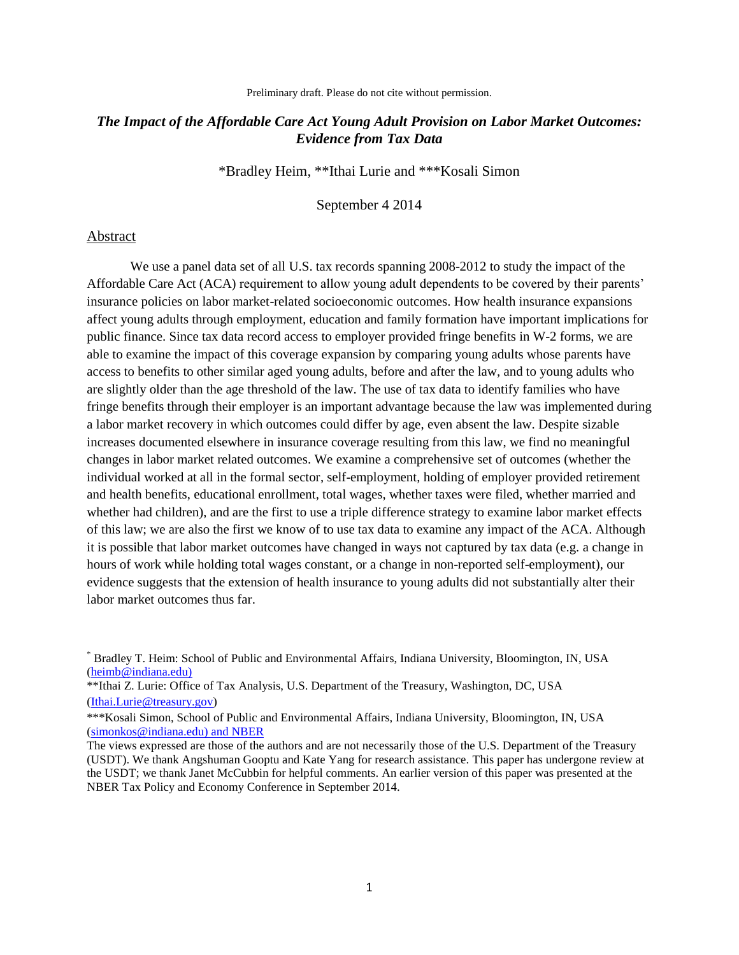Preliminary draft. Please do not cite without permission.

# *The Impact of the Affordable Care Act Young Adult Provision on Labor Market Outcomes: Evidence from Tax Data*

\*Bradley Heim, \*\*Ithai Lurie and \*\*\*Kosali Simon

September 4 2014

#### Abstract

We use a panel data set of all U.S. tax records spanning 2008-2012 to study the impact of the Affordable Care Act (ACA) requirement to allow young adult dependents to be covered by their parents' insurance policies on labor market-related socioeconomic outcomes. How health insurance expansions affect young adults through employment, education and family formation have important implications for public finance. Since tax data record access to employer provided fringe benefits in W-2 forms, we are able to examine the impact of this coverage expansion by comparing young adults whose parents have access to benefits to other similar aged young adults, before and after the law, and to young adults who are slightly older than the age threshold of the law. The use of tax data to identify families who have fringe benefits through their employer is an important advantage because the law was implemented during a labor market recovery in which outcomes could differ by age, even absent the law. Despite sizable increases documented elsewhere in insurance coverage resulting from this law, we find no meaningful changes in labor market related outcomes. We examine a comprehensive set of outcomes (whether the individual worked at all in the formal sector, self-employment, holding of employer provided retirement and health benefits, educational enrollment, total wages, whether taxes were filed, whether married and whether had children), and are the first to use a triple difference strategy to examine labor market effects of this law; we are also the first we know of to use tax data to examine any impact of the ACA. Although it is possible that labor market outcomes have changed in ways not captured by tax data (e.g. a change in hours of work while holding total wages constant, or a change in non-reported self-employment), our evidence suggests that the extension of health insurance to young adults did not substantially alter their labor market outcomes thus far.

\*\*Ithai Z. Lurie: Office of Tax Analysis, U.S. Department of the Treasury, Washington, DC, USA [\(Ithai.Lurie@treasury.gov\)](mailto:Ithai.Lurie@treasury.gov)

<sup>\*</sup> Bradley T. Heim: School of Public and Environmental Affairs, Indiana University, Bloomington, IN, USA [\(heimb@indiana.edu\)](mailto:heimb@indiana.edu)

<sup>\*\*\*</sup>Kosali Simon, School of Public and Environmental Affairs, Indiana University, Bloomington, IN, USA [\(simonkos@indiana.edu\)](mailto:simonkos@indiana.edu) and NBER

The views expressed are those of the authors and are not necessarily those of the U.S. Department of the Treasury (USDT). We thank Angshuman Gooptu and Kate Yang for research assistance. This paper has undergone review at the USDT; we thank Janet McCubbin for helpful comments. An earlier version of this paper was presented at the NBER Tax Policy and Economy Conference in September 2014.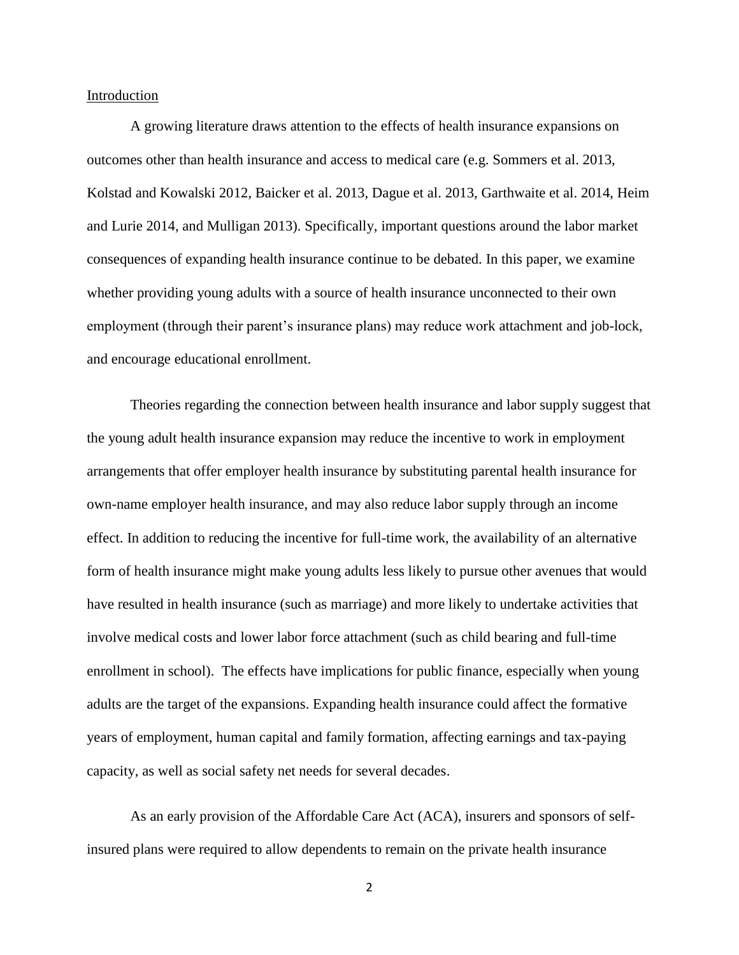Introduction

A growing literature draws attention to the effects of health insurance expansions on outcomes other than health insurance and access to medical care (e.g. Sommers et al. 2013, Kolstad and Kowalski 2012, Baicker et al. 2013, Dague et al. 2013, Garthwaite et al. 2014, Heim and Lurie 2014, and Mulligan 2013). Specifically, important questions around the labor market consequences of expanding health insurance continue to be debated. In this paper, we examine whether providing young adults with a source of health insurance unconnected to their own employment (through their parent's insurance plans) may reduce work attachment and job-lock, and encourage educational enrollment.

Theories regarding the connection between health insurance and labor supply suggest that the young adult health insurance expansion may reduce the incentive to work in employment arrangements that offer employer health insurance by substituting parental health insurance for own-name employer health insurance, and may also reduce labor supply through an income effect. In addition to reducing the incentive for full-time work, the availability of an alternative form of health insurance might make young adults less likely to pursue other avenues that would have resulted in health insurance (such as marriage) and more likely to undertake activities that involve medical costs and lower labor force attachment (such as child bearing and full-time enrollment in school). The effects have implications for public finance, especially when young adults are the target of the expansions. Expanding health insurance could affect the formative years of employment, human capital and family formation, affecting earnings and tax-paying capacity, as well as social safety net needs for several decades.

As an early provision of the Affordable Care Act (ACA), insurers and sponsors of selfinsured plans were required to allow dependents to remain on the private health insurance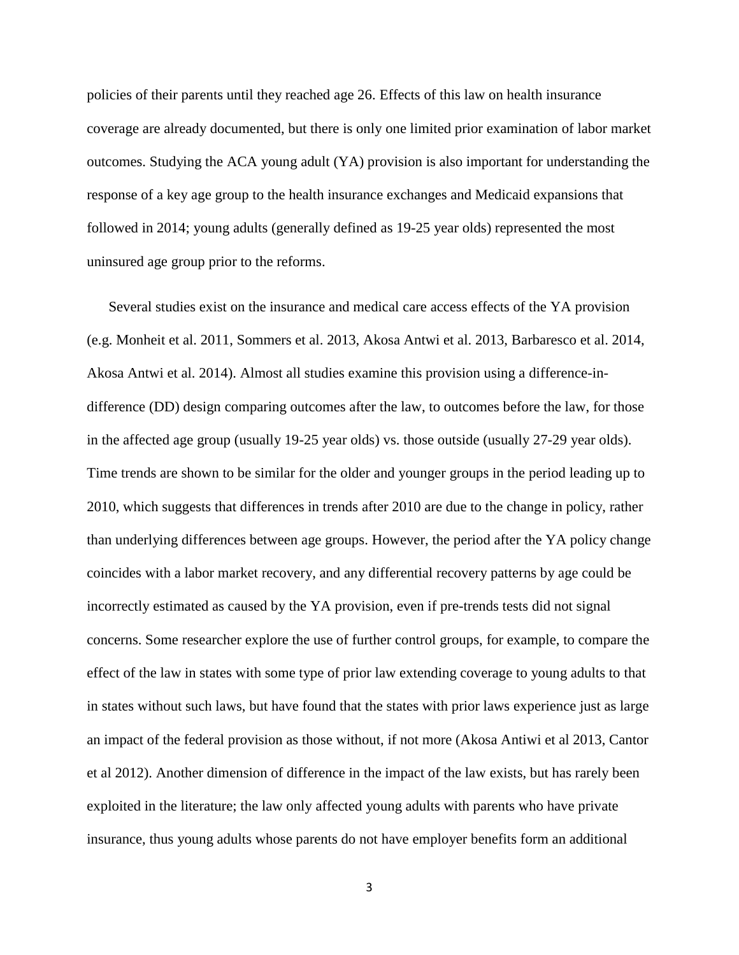policies of their parents until they reached age 26. Effects of this law on health insurance coverage are already documented, but there is only one limited prior examination of labor market outcomes. Studying the ACA young adult (YA) provision is also important for understanding the response of a key age group to the health insurance exchanges and Medicaid expansions that followed in 2014; young adults (generally defined as 19-25 year olds) represented the most uninsured age group prior to the reforms.

Several studies exist on the insurance and medical care access effects of the YA provision (e.g. Monheit et al. 2011, Sommers et al. 2013, Akosa Antwi et al. 2013, Barbaresco et al. 2014, Akosa Antwi et al. 2014). Almost all studies examine this provision using a difference-indifference (DD) design comparing outcomes after the law, to outcomes before the law, for those in the affected age group (usually 19-25 year olds) vs. those outside (usually 27-29 year olds). Time trends are shown to be similar for the older and younger groups in the period leading up to 2010, which suggests that differences in trends after 2010 are due to the change in policy, rather than underlying differences between age groups. However, the period after the YA policy change coincides with a labor market recovery, and any differential recovery patterns by age could be incorrectly estimated as caused by the YA provision, even if pre-trends tests did not signal concerns. Some researcher explore the use of further control groups, for example, to compare the effect of the law in states with some type of prior law extending coverage to young adults to that in states without such laws, but have found that the states with prior laws experience just as large an impact of the federal provision as those without, if not more (Akosa Antiwi et al 2013, Cantor et al 2012). Another dimension of difference in the impact of the law exists, but has rarely been exploited in the literature; the law only affected young adults with parents who have private insurance, thus young adults whose parents do not have employer benefits form an additional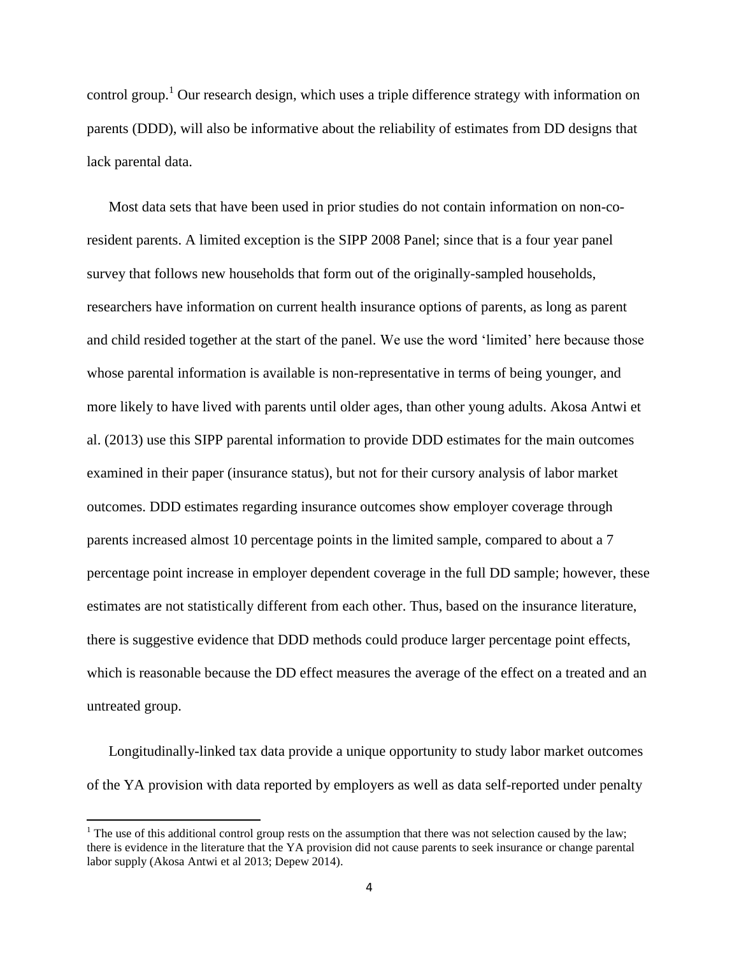control group.<sup>1</sup> Our research design, which uses a triple difference strategy with information on parents (DDD), will also be informative about the reliability of estimates from DD designs that lack parental data.

Most data sets that have been used in prior studies do not contain information on non-coresident parents. A limited exception is the SIPP 2008 Panel; since that is a four year panel survey that follows new households that form out of the originally-sampled households, researchers have information on current health insurance options of parents, as long as parent and child resided together at the start of the panel. We use the word 'limited' here because those whose parental information is available is non-representative in terms of being younger, and more likely to have lived with parents until older ages, than other young adults. Akosa Antwi et al. (2013) use this SIPP parental information to provide DDD estimates for the main outcomes examined in their paper (insurance status), but not for their cursory analysis of labor market outcomes. DDD estimates regarding insurance outcomes show employer coverage through parents increased almost 10 percentage points in the limited sample, compared to about a 7 percentage point increase in employer dependent coverage in the full DD sample; however, these estimates are not statistically different from each other. Thus, based on the insurance literature, there is suggestive evidence that DDD methods could produce larger percentage point effects, which is reasonable because the DD effect measures the average of the effect on a treated and an untreated group.

Longitudinally-linked tax data provide a unique opportunity to study labor market outcomes of the YA provision with data reported by employers as well as data self-reported under penalty

<sup>&</sup>lt;sup>1</sup> The use of this additional control group rests on the assumption that there was not selection caused by the law; there is evidence in the literature that the YA provision did not cause parents to seek insurance or change parental labor supply (Akosa Antwi et al 2013; Depew 2014).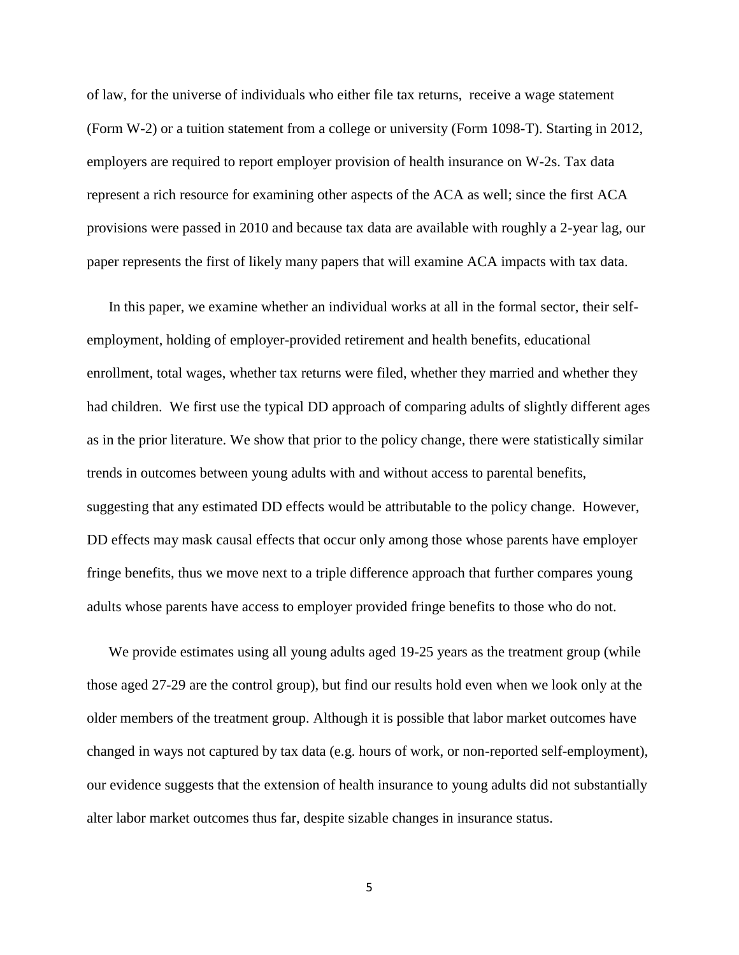of law, for the universe of individuals who either file tax returns, receive a wage statement (Form W-2) or a tuition statement from a college or university (Form 1098-T). Starting in 2012, employers are required to report employer provision of health insurance on W-2s. Tax data represent a rich resource for examining other aspects of the ACA as well; since the first ACA provisions were passed in 2010 and because tax data are available with roughly a 2-year lag, our paper represents the first of likely many papers that will examine ACA impacts with tax data.

In this paper, we examine whether an individual works at all in the formal sector, their selfemployment, holding of employer-provided retirement and health benefits, educational enrollment, total wages, whether tax returns were filed, whether they married and whether they had children. We first use the typical DD approach of comparing adults of slightly different ages as in the prior literature. We show that prior to the policy change, there were statistically similar trends in outcomes between young adults with and without access to parental benefits, suggesting that any estimated DD effects would be attributable to the policy change. However, DD effects may mask causal effects that occur only among those whose parents have employer fringe benefits, thus we move next to a triple difference approach that further compares young adults whose parents have access to employer provided fringe benefits to those who do not.

We provide estimates using all young adults aged 19-25 years as the treatment group (while those aged 27-29 are the control group), but find our results hold even when we look only at the older members of the treatment group. Although it is possible that labor market outcomes have changed in ways not captured by tax data (e.g. hours of work, or non-reported self-employment), our evidence suggests that the extension of health insurance to young adults did not substantially alter labor market outcomes thus far, despite sizable changes in insurance status.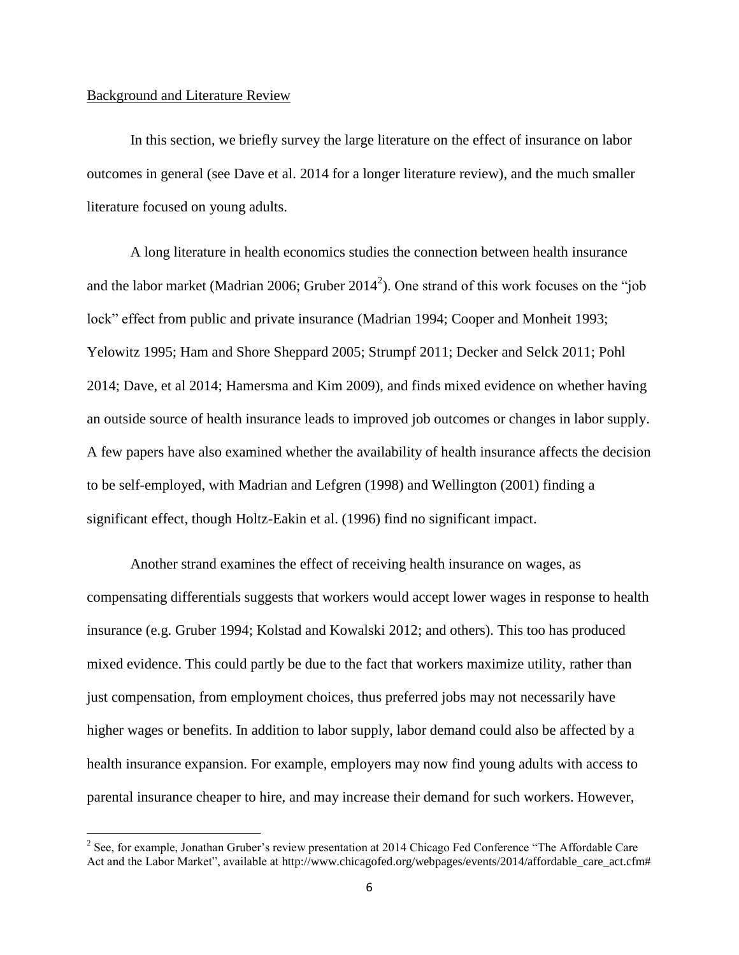### Background and Literature Review

 $\overline{\phantom{a}}$ 

In this section, we briefly survey the large literature on the effect of insurance on labor outcomes in general (see Dave et al. 2014 for a longer literature review), and the much smaller literature focused on young adults.

A long literature in health economics studies the connection between health insurance and the labor market (Madrian 2006; Gruber 2014<sup>2</sup>). One strand of this work focuses on the "job lock" effect from public and private insurance (Madrian 1994; Cooper and Monheit 1993; Yelowitz 1995; Ham and Shore Sheppard 2005; Strumpf 2011; Decker and Selck 2011; Pohl 2014; Dave, et al 2014; Hamersma and Kim 2009), and finds mixed evidence on whether having an outside source of health insurance leads to improved job outcomes or changes in labor supply. A few papers have also examined whether the availability of health insurance affects the decision to be self-employed, with Madrian and Lefgren (1998) and Wellington (2001) finding a significant effect, though Holtz-Eakin et al. (1996) find no significant impact.

Another strand examines the effect of receiving health insurance on wages, as compensating differentials suggests that workers would accept lower wages in response to health insurance (e.g. Gruber 1994; Kolstad and Kowalski 2012; and others). This too has produced mixed evidence. This could partly be due to the fact that workers maximize utility, rather than just compensation, from employment choices, thus preferred jobs may not necessarily have higher wages or benefits. In addition to labor supply, labor demand could also be affected by a health insurance expansion. For example, employers may now find young adults with access to parental insurance cheaper to hire, and may increase their demand for such workers. However,

<sup>&</sup>lt;sup>2</sup> See, for example, Jonathan Gruber's review presentation at 2014 Chicago Fed Conference "The Affordable Care Act and the Labor Market", available at http://www.chicagofed.org/webpages/events/2014/affordable\_care\_act.cfm#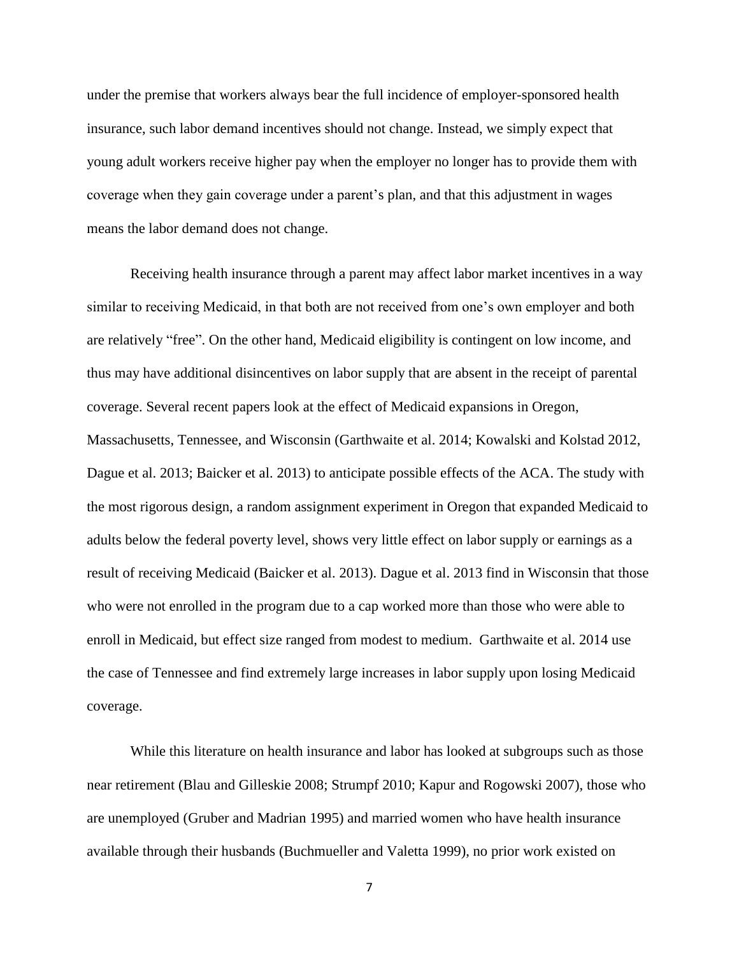under the premise that workers always bear the full incidence of employer-sponsored health insurance, such labor demand incentives should not change. Instead, we simply expect that young adult workers receive higher pay when the employer no longer has to provide them with coverage when they gain coverage under a parent's plan, and that this adjustment in wages means the labor demand does not change.

Receiving health insurance through a parent may affect labor market incentives in a way similar to receiving Medicaid, in that both are not received from one's own employer and both are relatively "free". On the other hand, Medicaid eligibility is contingent on low income, and thus may have additional disincentives on labor supply that are absent in the receipt of parental coverage. Several recent papers look at the effect of Medicaid expansions in Oregon, Massachusetts, Tennessee, and Wisconsin (Garthwaite et al. 2014; Kowalski and Kolstad 2012, Dague et al. 2013; Baicker et al. 2013) to anticipate possible effects of the ACA. The study with the most rigorous design, a random assignment experiment in Oregon that expanded Medicaid to adults below the federal poverty level, shows very little effect on labor supply or earnings as a result of receiving Medicaid (Baicker et al. 2013). Dague et al. 2013 find in Wisconsin that those who were not enrolled in the program due to a cap worked more than those who were able to enroll in Medicaid, but effect size ranged from modest to medium. Garthwaite et al. 2014 use the case of Tennessee and find extremely large increases in labor supply upon losing Medicaid coverage.

While this literature on health insurance and labor has looked at subgroups such as those near retirement (Blau and Gilleskie 2008; Strumpf 2010; Kapur and Rogowski 2007), those who are unemployed (Gruber and Madrian 1995) and married women who have health insurance available through their husbands (Buchmueller and Valetta 1999), no prior work existed on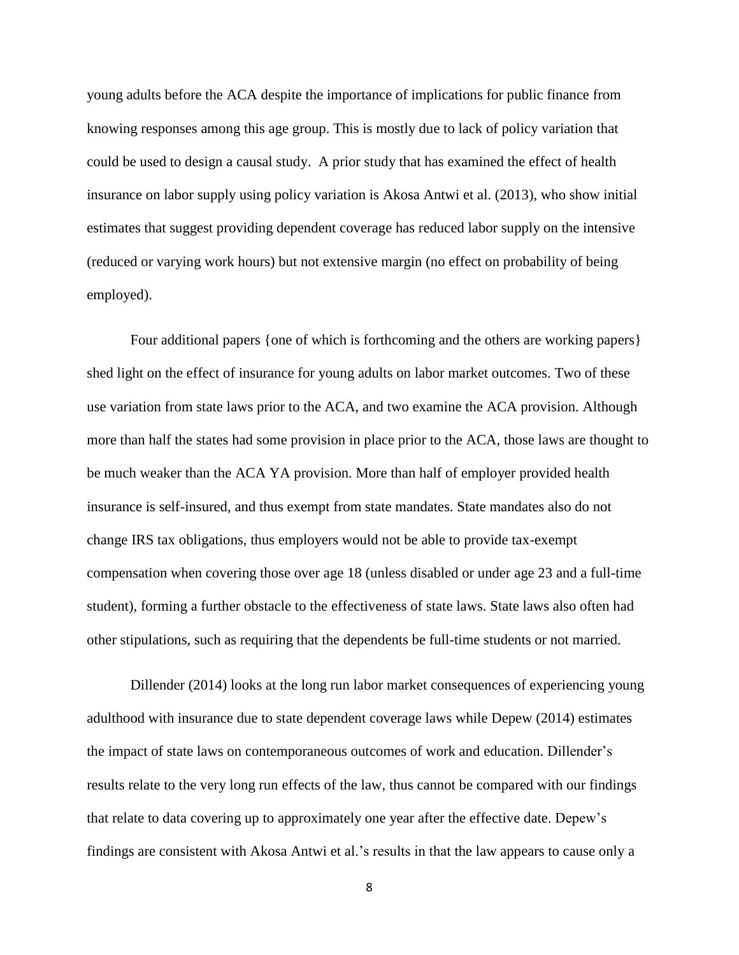young adults before the ACA despite the importance of implications for public finance from knowing responses among this age group. This is mostly due to lack of policy variation that could be used to design a causal study. A prior study that has examined the effect of health insurance on labor supply using policy variation is Akosa Antwi et al. (2013), who show initial estimates that suggest providing dependent coverage has reduced labor supply on the intensive (reduced or varying work hours) but not extensive margin (no effect on probability of being employed).

Four additional papers {one of which is forthcoming and the others are working papers} shed light on the effect of insurance for young adults on labor market outcomes. Two of these use variation from state laws prior to the ACA, and two examine the ACA provision. Although more than half the states had some provision in place prior to the ACA, those laws are thought to be much weaker than the ACA YA provision. More than half of employer provided health insurance is self-insured, and thus exempt from state mandates. State mandates also do not change IRS tax obligations, thus employers would not be able to provide tax-exempt compensation when covering those over age 18 (unless disabled or under age 23 and a full-time student), forming a further obstacle to the effectiveness of state laws. State laws also often had other stipulations, such as requiring that the dependents be full-time students or not married.

Dillender (2014) looks at the long run labor market consequences of experiencing young adulthood with insurance due to state dependent coverage laws while Depew (2014) estimates the impact of state laws on contemporaneous outcomes of work and education. Dillender's results relate to the very long run effects of the law, thus cannot be compared with our findings that relate to data covering up to approximately one year after the effective date. Depew's findings are consistent with Akosa Antwi et al.'s results in that the law appears to cause only a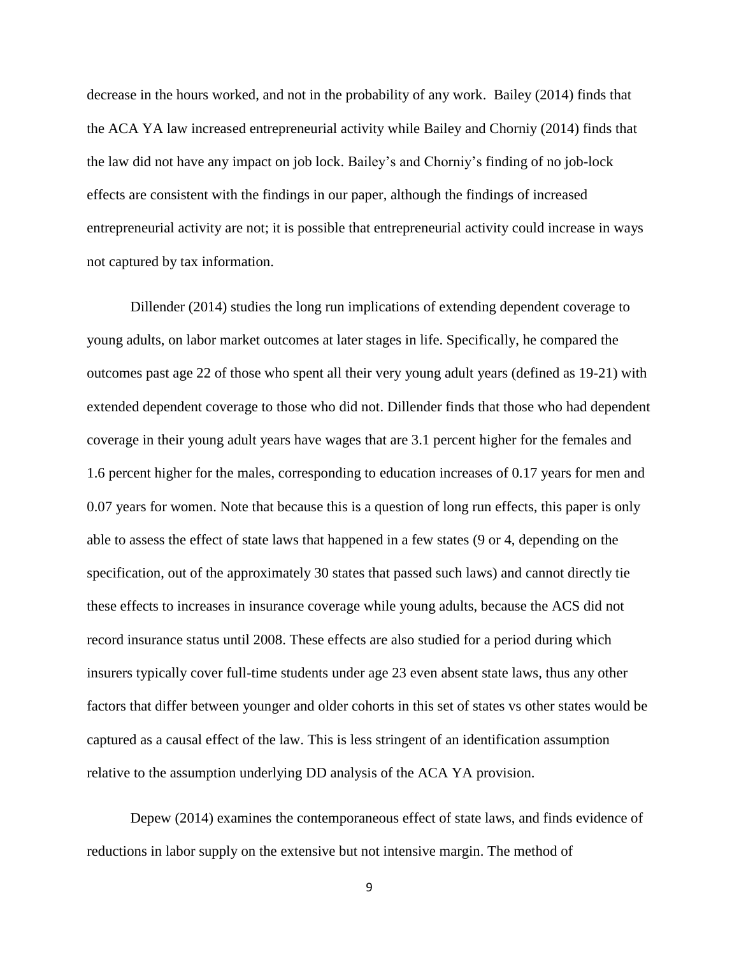decrease in the hours worked, and not in the probability of any work. Bailey (2014) finds that the ACA YA law increased entrepreneurial activity while Bailey and Chorniy (2014) finds that the law did not have any impact on job lock. Bailey's and Chorniy's finding of no job-lock effects are consistent with the findings in our paper, although the findings of increased entrepreneurial activity are not; it is possible that entrepreneurial activity could increase in ways not captured by tax information.

Dillender (2014) studies the long run implications of extending dependent coverage to young adults, on labor market outcomes at later stages in life. Specifically, he compared the outcomes past age 22 of those who spent all their very young adult years (defined as 19-21) with extended dependent coverage to those who did not. Dillender finds that those who had dependent coverage in their young adult years have wages that are 3.1 percent higher for the females and 1.6 percent higher for the males, corresponding to education increases of 0.17 years for men and 0.07 years for women. Note that because this is a question of long run effects, this paper is only able to assess the effect of state laws that happened in a few states (9 or 4, depending on the specification, out of the approximately 30 states that passed such laws) and cannot directly tie these effects to increases in insurance coverage while young adults, because the ACS did not record insurance status until 2008. These effects are also studied for a period during which insurers typically cover full-time students under age 23 even absent state laws, thus any other factors that differ between younger and older cohorts in this set of states vs other states would be captured as a causal effect of the law. This is less stringent of an identification assumption relative to the assumption underlying DD analysis of the ACA YA provision.

Depew (2014) examines the contemporaneous effect of state laws, and finds evidence of reductions in labor supply on the extensive but not intensive margin. The method of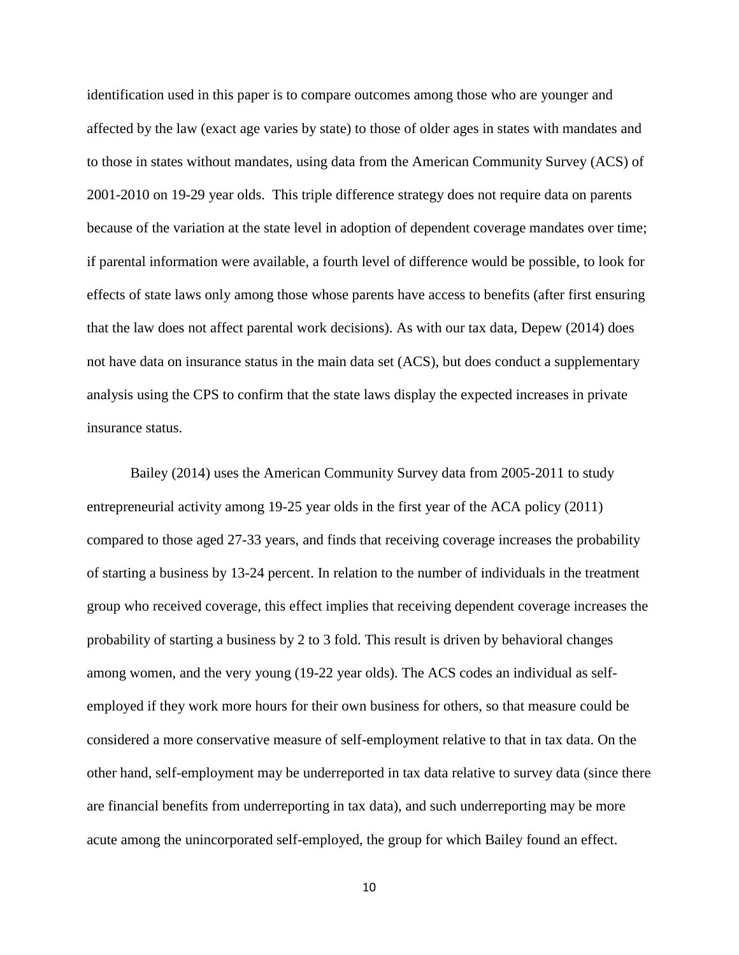identification used in this paper is to compare outcomes among those who are younger and affected by the law (exact age varies by state) to those of older ages in states with mandates and to those in states without mandates, using data from the American Community Survey (ACS) of 2001-2010 on 19-29 year olds. This triple difference strategy does not require data on parents because of the variation at the state level in adoption of dependent coverage mandates over time; if parental information were available, a fourth level of difference would be possible, to look for effects of state laws only among those whose parents have access to benefits (after first ensuring that the law does not affect parental work decisions). As with our tax data, Depew (2014) does not have data on insurance status in the main data set (ACS), but does conduct a supplementary analysis using the CPS to confirm that the state laws display the expected increases in private insurance status.

Bailey (2014) uses the American Community Survey data from 2005-2011 to study entrepreneurial activity among 19-25 year olds in the first year of the ACA policy (2011) compared to those aged 27-33 years, and finds that receiving coverage increases the probability of starting a business by 13-24 percent. In relation to the number of individuals in the treatment group who received coverage, this effect implies that receiving dependent coverage increases the probability of starting a business by 2 to 3 fold. This result is driven by behavioral changes among women, and the very young (19-22 year olds). The ACS codes an individual as selfemployed if they work more hours for their own business for others, so that measure could be considered a more conservative measure of self-employment relative to that in tax data. On the other hand, self-employment may be underreported in tax data relative to survey data (since there are financial benefits from underreporting in tax data), and such underreporting may be more acute among the unincorporated self-employed, the group for which Bailey found an effect.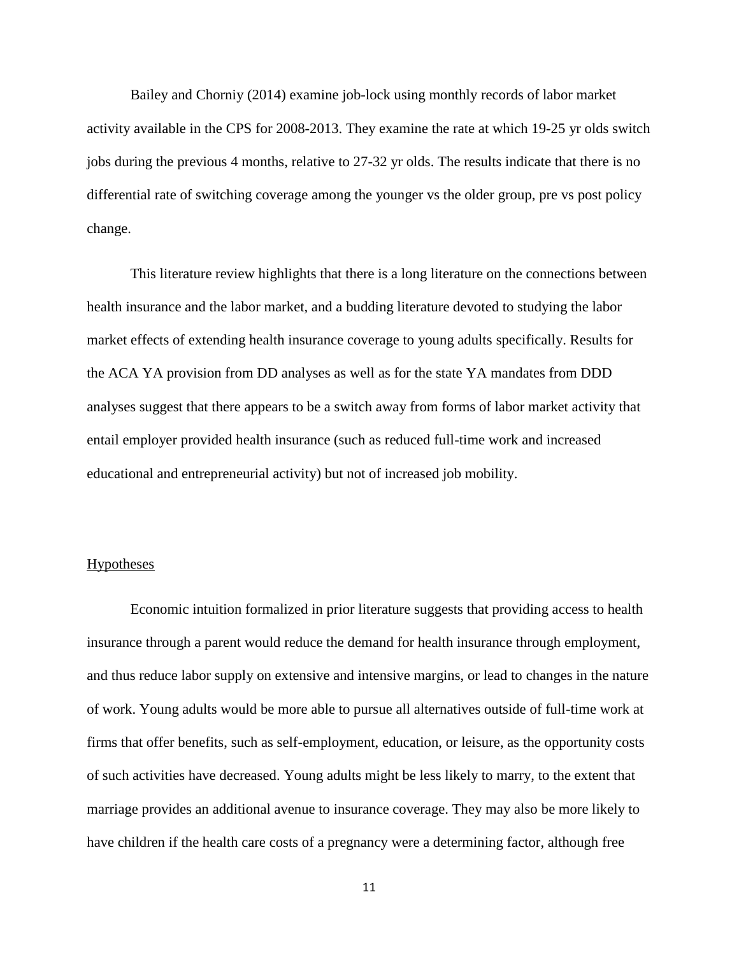Bailey and Chorniy (2014) examine job-lock using monthly records of labor market activity available in the CPS for 2008-2013. They examine the rate at which 19-25 yr olds switch jobs during the previous 4 months, relative to 27-32 yr olds. The results indicate that there is no differential rate of switching coverage among the younger vs the older group, pre vs post policy change.

This literature review highlights that there is a long literature on the connections between health insurance and the labor market, and a budding literature devoted to studying the labor market effects of extending health insurance coverage to young adults specifically. Results for the ACA YA provision from DD analyses as well as for the state YA mandates from DDD analyses suggest that there appears to be a switch away from forms of labor market activity that entail employer provided health insurance (such as reduced full-time work and increased educational and entrepreneurial activity) but not of increased job mobility.

### **Hypotheses**

Economic intuition formalized in prior literature suggests that providing access to health insurance through a parent would reduce the demand for health insurance through employment, and thus reduce labor supply on extensive and intensive margins, or lead to changes in the nature of work. Young adults would be more able to pursue all alternatives outside of full-time work at firms that offer benefits, such as self-employment, education, or leisure, as the opportunity costs of such activities have decreased. Young adults might be less likely to marry, to the extent that marriage provides an additional avenue to insurance coverage. They may also be more likely to have children if the health care costs of a pregnancy were a determining factor, although free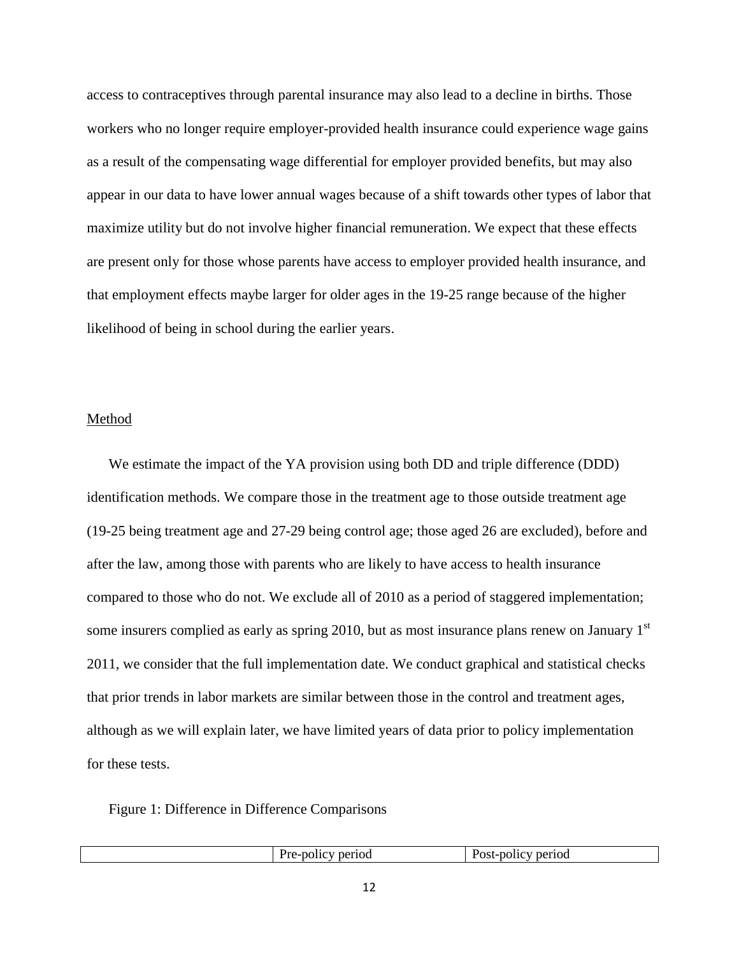access to contraceptives through parental insurance may also lead to a decline in births. Those workers who no longer require employer-provided health insurance could experience wage gains as a result of the compensating wage differential for employer provided benefits, but may also appear in our data to have lower annual wages because of a shift towards other types of labor that maximize utility but do not involve higher financial remuneration. We expect that these effects are present only for those whose parents have access to employer provided health insurance, and that employment effects maybe larger for older ages in the 19-25 range because of the higher likelihood of being in school during the earlier years.

# Method

We estimate the impact of the YA provision using both DD and triple difference (DDD) identification methods. We compare those in the treatment age to those outside treatment age (19-25 being treatment age and 27-29 being control age; those aged 26 are excluded), before and after the law, among those with parents who are likely to have access to health insurance compared to those who do not. We exclude all of 2010 as a period of staggered implementation; some insurers complied as early as spring 2010, but as most insurance plans renew on January 1<sup>st</sup> 2011, we consider that the full implementation date. We conduct graphical and statistical checks that prior trends in labor markets are similar between those in the control and treatment ages, although as we will explain later, we have limited years of data prior to policy implementation for these tests.

Figure 1: Difference in Difference Comparisons

|  |  | period<br>٠Г)<br>$\sim$ $\sim$ | period<br>,,,,,<br><b>USL</b><br>$\sim$ $\sim$ $\sim$<br>.<br>$\sim$ $\sim$ |
|--|--|--------------------------------|-----------------------------------------------------------------------------|
|--|--|--------------------------------|-----------------------------------------------------------------------------|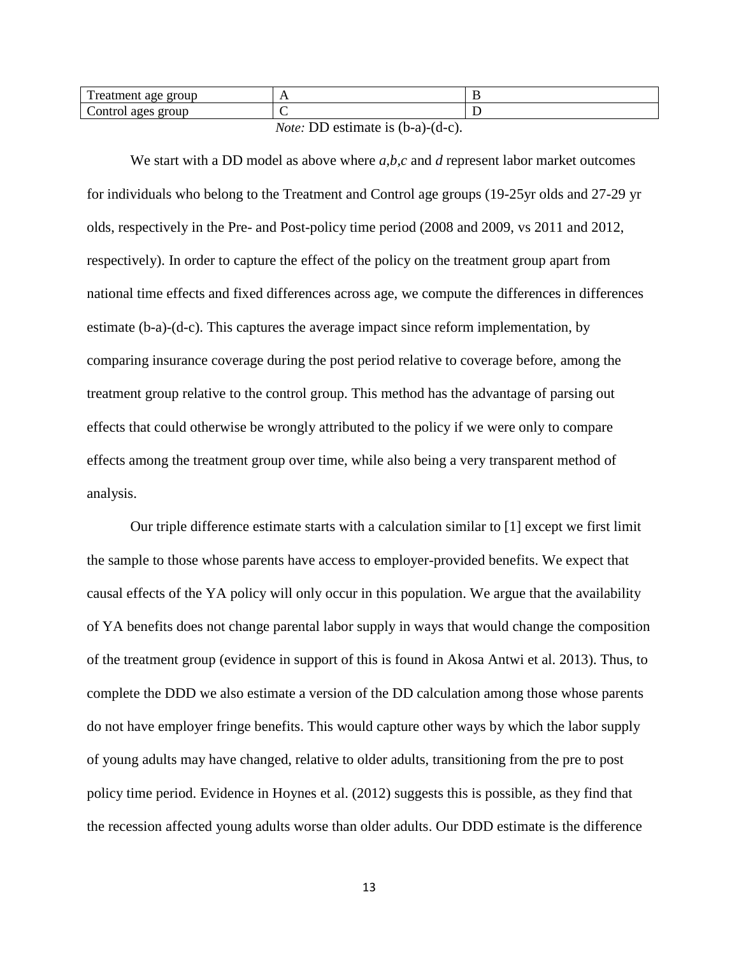| $\mathbf{r}$<br>rroup<br><b>reatment</b><br>. | . .                          | . |
|-----------------------------------------------|------------------------------|---|
| ∽<br>Control ages<br>group                    |                              |   |
|                                               | $\sim$ $\sim$<br>.<br>$\sim$ |   |

*Note:* DD estimate is (b-a)-(d-c).

We start with a DD model as above where *a,b,c* and *d* represent labor market outcomes for individuals who belong to the Treatment and Control age groups (19-25yr olds and 27-29 yr olds, respectively in the Pre- and Post-policy time period (2008 and 2009, vs 2011 and 2012, respectively). In order to capture the effect of the policy on the treatment group apart from national time effects and fixed differences across age, we compute the differences in differences estimate (b-a)-(d-c). This captures the average impact since reform implementation, by comparing insurance coverage during the post period relative to coverage before, among the treatment group relative to the control group. This method has the advantage of parsing out effects that could otherwise be wrongly attributed to the policy if we were only to compare effects among the treatment group over time, while also being a very transparent method of analysis.

Our triple difference estimate starts with a calculation similar to [1] except we first limit the sample to those whose parents have access to employer-provided benefits. We expect that causal effects of the YA policy will only occur in this population. We argue that the availability of YA benefits does not change parental labor supply in ways that would change the composition of the treatment group (evidence in support of this is found in Akosa Antwi et al. 2013). Thus, to complete the DDD we also estimate a version of the DD calculation among those whose parents do not have employer fringe benefits. This would capture other ways by which the labor supply of young adults may have changed, relative to older adults, transitioning from the pre to post policy time period. Evidence in Hoynes et al. (2012) suggests this is possible, as they find that the recession affected young adults worse than older adults. Our DDD estimate is the difference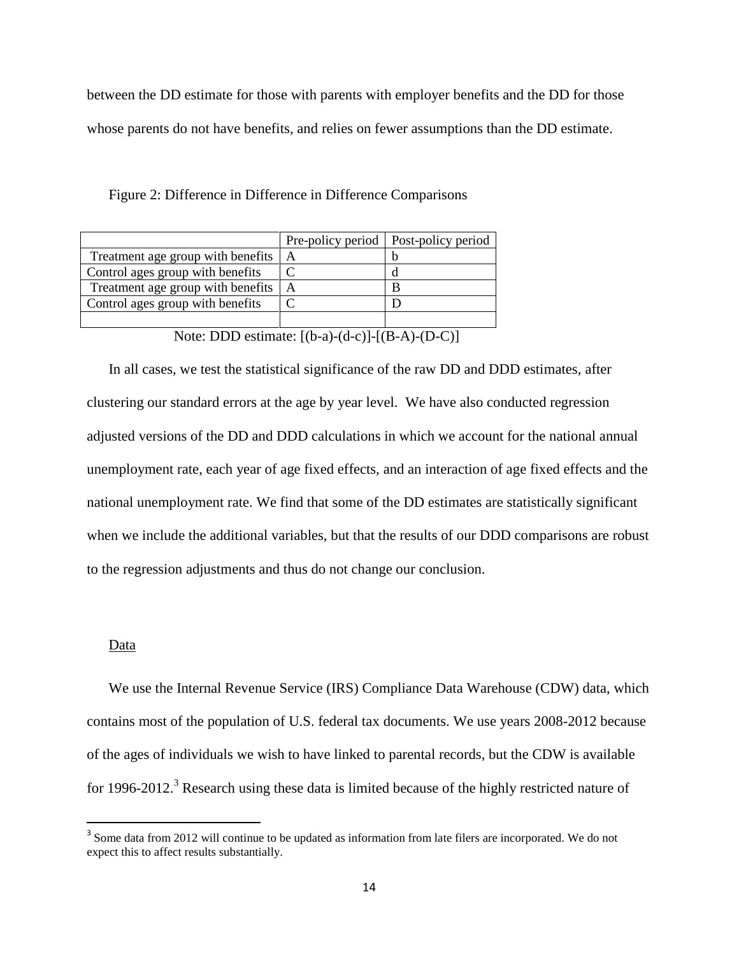between the DD estimate for those with parents with employer benefits and the DD for those whose parents do not have benefits, and relies on fewer assumptions than the DD estimate.

Figure 2: Difference in Difference in Difference Comparisons

|                                   |   | Pre-policy period   Post-policy period |
|-----------------------------------|---|----------------------------------------|
| Treatment age group with benefits | A |                                        |
| Control ages group with benefits  |   |                                        |
| Treatment age group with benefits | A |                                        |
| Control ages group with benefits  |   |                                        |
|                                   |   |                                        |

Note: DDD estimate: [(b-a)-(d-c)]-[(B-A)-(D-C)]

In all cases, we test the statistical significance of the raw DD and DDD estimates, after clustering our standard errors at the age by year level. We have also conducted regression adjusted versions of the DD and DDD calculations in which we account for the national annual unemployment rate, each year of age fixed effects, and an interaction of age fixed effects and the national unemployment rate. We find that some of the DD estimates are statistically significant when we include the additional variables, but that the results of our DDD comparisons are robust to the regression adjustments and thus do not change our conclusion.

### Data

 $\overline{\phantom{a}}$ 

We use the Internal Revenue Service (IRS) Compliance Data Warehouse (CDW) data, which contains most of the population of U.S. federal tax documents. We use years 2008-2012 because of the ages of individuals we wish to have linked to parental records, but the CDW is available for 1996-2012.<sup>3</sup> Research using these data is limited because of the highly restricted nature of

<sup>&</sup>lt;sup>3</sup> Some data from 2012 will continue to be updated as information from late filers are incorporated. We do not expect this to affect results substantially.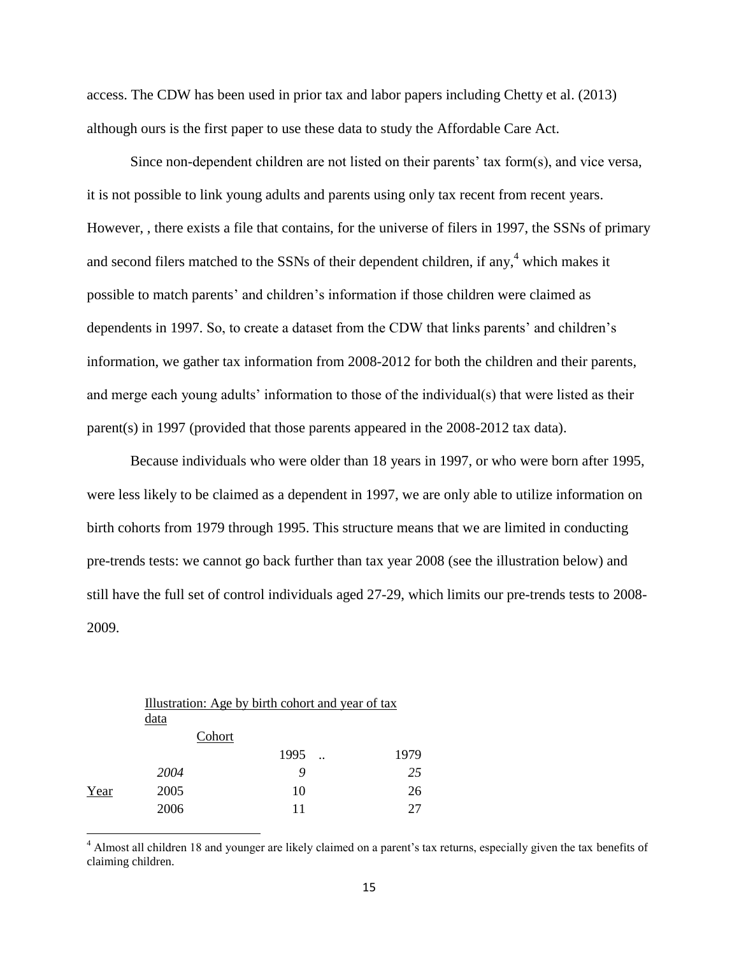access. The CDW has been used in prior tax and labor papers including Chetty et al. (2013) although ours is the first paper to use these data to study the Affordable Care Act.

Since non-dependent children are not listed on their parents' tax form(s), and vice versa, it is not possible to link young adults and parents using only tax recent from recent years. However, , there exists a file that contains, for the universe of filers in 1997, the SSNs of primary and second filers matched to the SSNs of their dependent children, if any,<sup>4</sup> which makes it possible to match parents' and children's information if those children were claimed as dependents in 1997. So, to create a dataset from the CDW that links parents' and children's information, we gather tax information from 2008-2012 for both the children and their parents, and merge each young adults' information to those of the individual(s) that were listed as their parent(s) in 1997 (provided that those parents appeared in the 2008-2012 tax data).

Because individuals who were older than 18 years in 1997, or who were born after 1995, were less likely to be claimed as a dependent in 1997, we are only able to utilize information on birth cohorts from 1979 through 1995. This structure means that we are limited in conducting pre-trends tests: we cannot go back further than tax year 2008 (see the illustration below) and still have the full set of control individuals aged 27-29, which limits our pre-trends tests to 2008- 2009.

|      | Illustration: Age by birth cohort and year of tax |        |      |  |
|------|---------------------------------------------------|--------|------|--|
|      | data                                              |        |      |  |
|      |                                                   | Cohort |      |  |
|      |                                                   | 1995   | 1979 |  |
|      | 2004                                              |        | 25   |  |
| Year | 2005                                              | 10     | 26   |  |
|      | 2006                                              | 11     | 27   |  |
|      |                                                   |        |      |  |

<sup>&</sup>lt;sup>4</sup> Almost all children 18 and younger are likely claimed on a parent's tax returns, especially given the tax benefits of claiming children.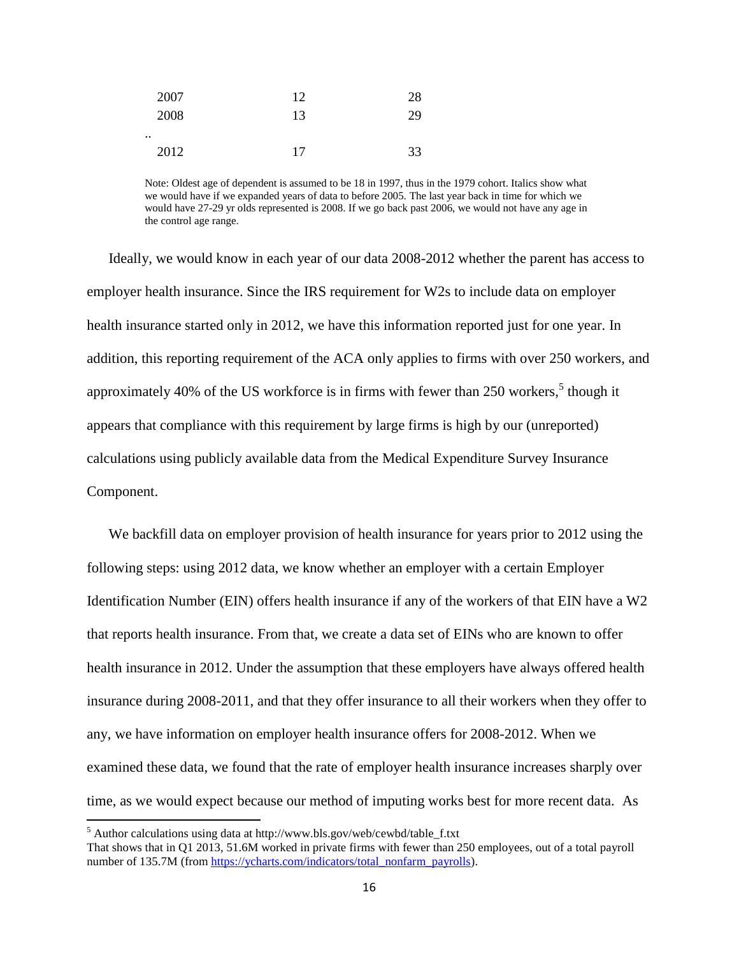| 2007 | 12 | 28 |
|------|----|----|
| 2008 | 13 | 29 |
|      |    |    |
| 2012 | 17 | 33 |

Note: Oldest age of dependent is assumed to be 18 in 1997, thus in the 1979 cohort. Italics show what we would have if we expanded years of data to before 2005. The last year back in time for which we would have 27-29 yr olds represented is 2008. If we go back past 2006, we would not have any age in the control age range.

Ideally, we would know in each year of our data 2008-2012 whether the parent has access to employer health insurance. Since the IRS requirement for W2s to include data on employer health insurance started only in 2012, we have this information reported just for one year. In addition, this reporting requirement of the ACA only applies to firms with over 250 workers, and approximately 40% of the US workforce is in firms with fewer than 250 workers,<sup>5</sup> though it appears that compliance with this requirement by large firms is high by our (unreported) calculations using publicly available data from the Medical Expenditure Survey Insurance Component.

We backfill data on employer provision of health insurance for years prior to 2012 using the following steps: using 2012 data, we know whether an employer with a certain Employer Identification Number (EIN) offers health insurance if any of the workers of that EIN have a W2 that reports health insurance. From that, we create a data set of EINs who are known to offer health insurance in 2012. Under the assumption that these employers have always offered health insurance during 2008-2011, and that they offer insurance to all their workers when they offer to any, we have information on employer health insurance offers for 2008-2012. When we examined these data, we found that the rate of employer health insurance increases sharply over time, as we would expect because our method of imputing works best for more recent data. As

<sup>5</sup> Author calculations using data at http://www.bls.gov/web/cewbd/table\_f.txt

That shows that in Q1 2013, 51.6M worked in private firms with fewer than 250 employees, out of a total payroll number of 135.7M (from [https://ycharts.com/indicators/total\\_nonfarm\\_payrolls\)](https://ycharts.com/indicators/total_nonfarm_payrolls).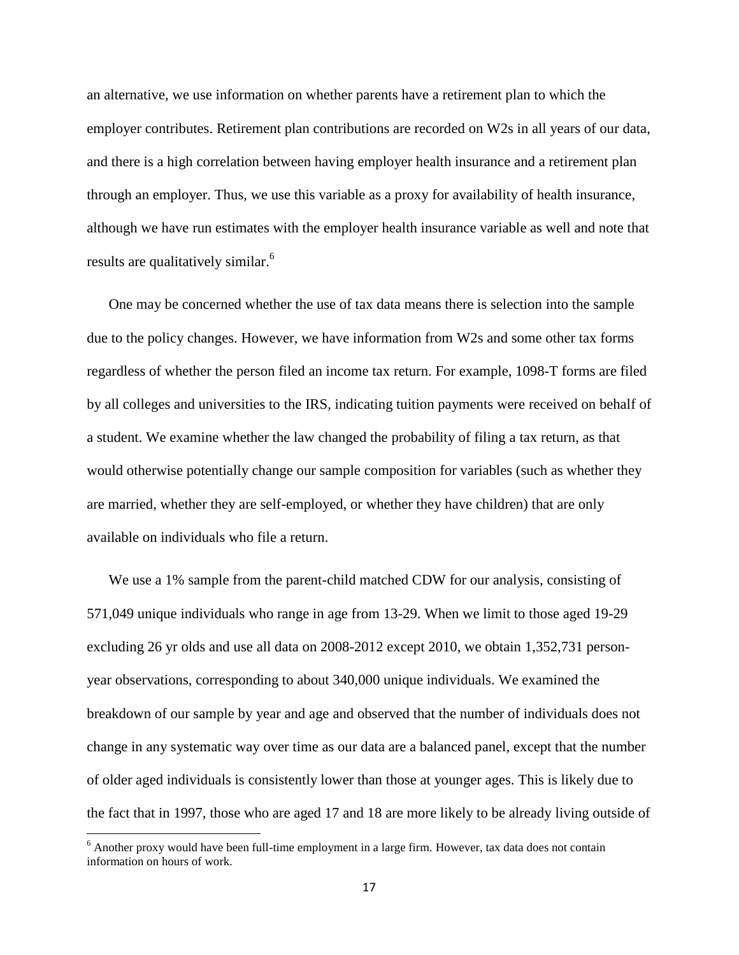an alternative, we use information on whether parents have a retirement plan to which the employer contributes. Retirement plan contributions are recorded on W2s in all years of our data, and there is a high correlation between having employer health insurance and a retirement plan through an employer. Thus, we use this variable as a proxy for availability of health insurance, although we have run estimates with the employer health insurance variable as well and note that results are qualitatively similar.<sup>6</sup>

One may be concerned whether the use of tax data means there is selection into the sample due to the policy changes. However, we have information from W2s and some other tax forms regardless of whether the person filed an income tax return. For example, 1098-T forms are filed by all colleges and universities to the IRS, indicating tuition payments were received on behalf of a student. We examine whether the law changed the probability of filing a tax return, as that would otherwise potentially change our sample composition for variables (such as whether they are married, whether they are self-employed, or whether they have children) that are only available on individuals who file a return.

We use a 1% sample from the parent-child matched CDW for our analysis, consisting of 571,049 unique individuals who range in age from 13-29. When we limit to those aged 19-29 excluding 26 yr olds and use all data on 2008-2012 except 2010, we obtain 1,352,731 personyear observations, corresponding to about 340,000 unique individuals. We examined the breakdown of our sample by year and age and observed that the number of individuals does not change in any systematic way over time as our data are a balanced panel, except that the number of older aged individuals is consistently lower than those at younger ages. This is likely due to the fact that in 1997, those who are aged 17 and 18 are more likely to be already living outside of

 $6$  Another proxy would have been full-time employment in a large firm. However, tax data does not contain information on hours of work.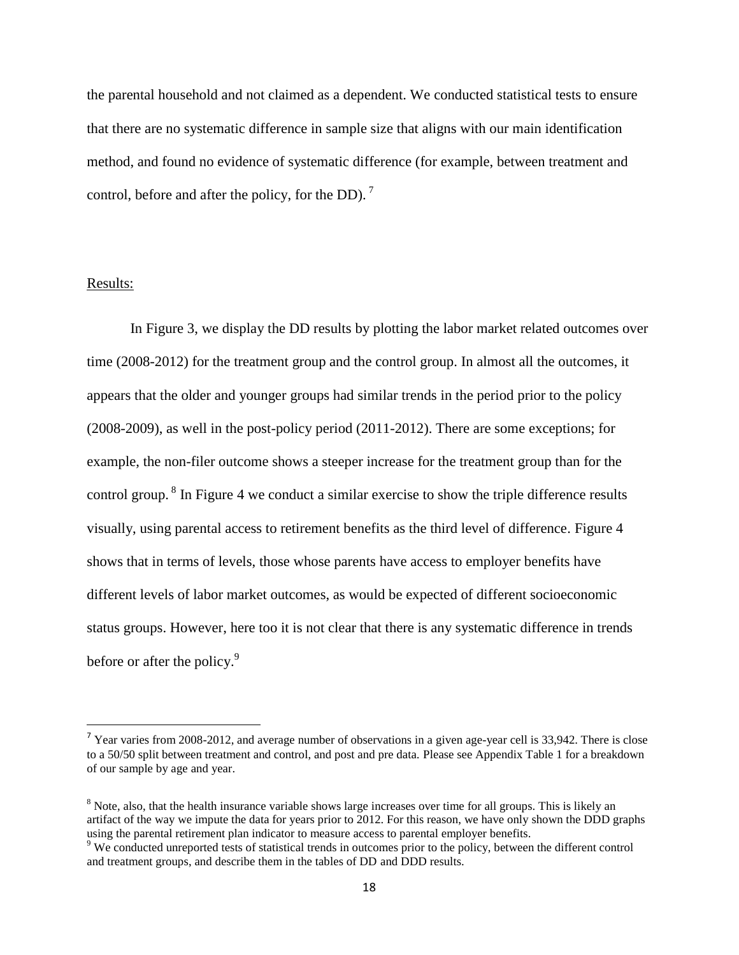the parental household and not claimed as a dependent. We conducted statistical tests to ensure that there are no systematic difference in sample size that aligns with our main identification method, and found no evidence of systematic difference (for example, between treatment and control, before and after the policy, for the DD).<sup>7</sup>

#### Results:

 $\overline{\phantom{a}}$ 

In Figure 3, we display the DD results by plotting the labor market related outcomes over time (2008-2012) for the treatment group and the control group. In almost all the outcomes, it appears that the older and younger groups had similar trends in the period prior to the policy (2008-2009), as well in the post-policy period (2011-2012). There are some exceptions; for example, the non-filer outcome shows a steeper increase for the treatment group than for the control group.  $8 \text{ In Figure 4 we conduct a similar exercise to show the triple difference results}$ visually, using parental access to retirement benefits as the third level of difference. Figure 4 shows that in terms of levels, those whose parents have access to employer benefits have different levels of labor market outcomes, as would be expected of different socioeconomic status groups. However, here too it is not clear that there is any systematic difference in trends before or after the policy.<sup>9</sup>

<sup>&</sup>lt;sup>7</sup> Year varies from 2008-2012, and average number of observations in a given age-year cell is 33,942. There is close to a 50/50 split between treatment and control, and post and pre data. Please see Appendix Table 1 for a breakdown of our sample by age and year.

<sup>&</sup>lt;sup>8</sup> Note, also, that the health insurance variable shows large increases over time for all groups. This is likely an artifact of the way we impute the data for years prior to 2012. For this reason, we have only shown the DDD graphs using the parental retirement plan indicator to measure access to parental employer benefits.

<sup>&</sup>lt;sup>9</sup> We conducted unreported tests of statistical trends in outcomes prior to the policy, between the different control and treatment groups, and describe them in the tables of DD and DDD results.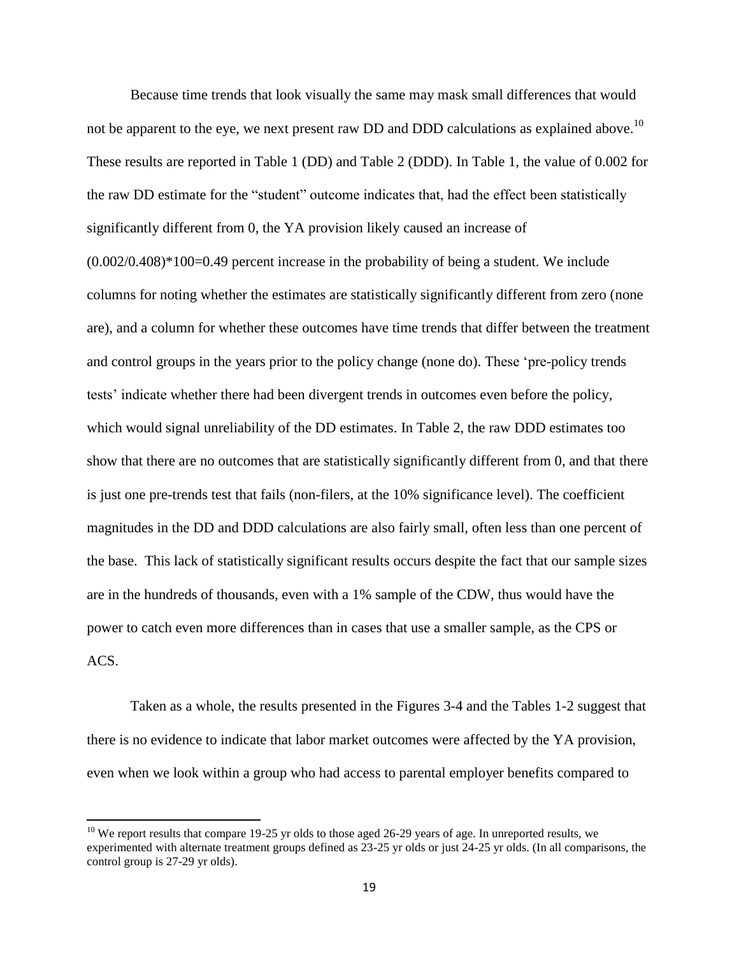Because time trends that look visually the same may mask small differences that would not be apparent to the eye, we next present raw DD and DDD calculations as explained above.<sup>10</sup> These results are reported in Table 1 (DD) and Table 2 (DDD). In Table 1, the value of 0.002 for the raw DD estimate for the "student" outcome indicates that, had the effect been statistically significantly different from 0, the YA provision likely caused an increase of (0.002/0.408)\*100=0.49 percent increase in the probability of being a student. We include columns for noting whether the estimates are statistically significantly different from zero (none are), and a column for whether these outcomes have time trends that differ between the treatment and control groups in the years prior to the policy change (none do). These 'pre-policy trends tests' indicate whether there had been divergent trends in outcomes even before the policy, which would signal unreliability of the DD estimates. In Table 2, the raw DDD estimates too show that there are no outcomes that are statistically significantly different from 0, and that there is just one pre-trends test that fails (non-filers, at the 10% significance level). The coefficient magnitudes in the DD and DDD calculations are also fairly small, often less than one percent of the base. This lack of statistically significant results occurs despite the fact that our sample sizes are in the hundreds of thousands, even with a 1% sample of the CDW, thus would have the power to catch even more differences than in cases that use a smaller sample, as the CPS or ACS.

Taken as a whole, the results presented in the Figures 3-4 and the Tables 1-2 suggest that there is no evidence to indicate that labor market outcomes were affected by the YA provision, even when we look within a group who had access to parental employer benefits compared to

 $10$  We report results that compare 19-25 yr olds to those aged 26-29 years of age. In unreported results, we experimented with alternate treatment groups defined as 23-25 yr olds or just 24-25 yr olds. (In all comparisons, the control group is 27-29 yr olds).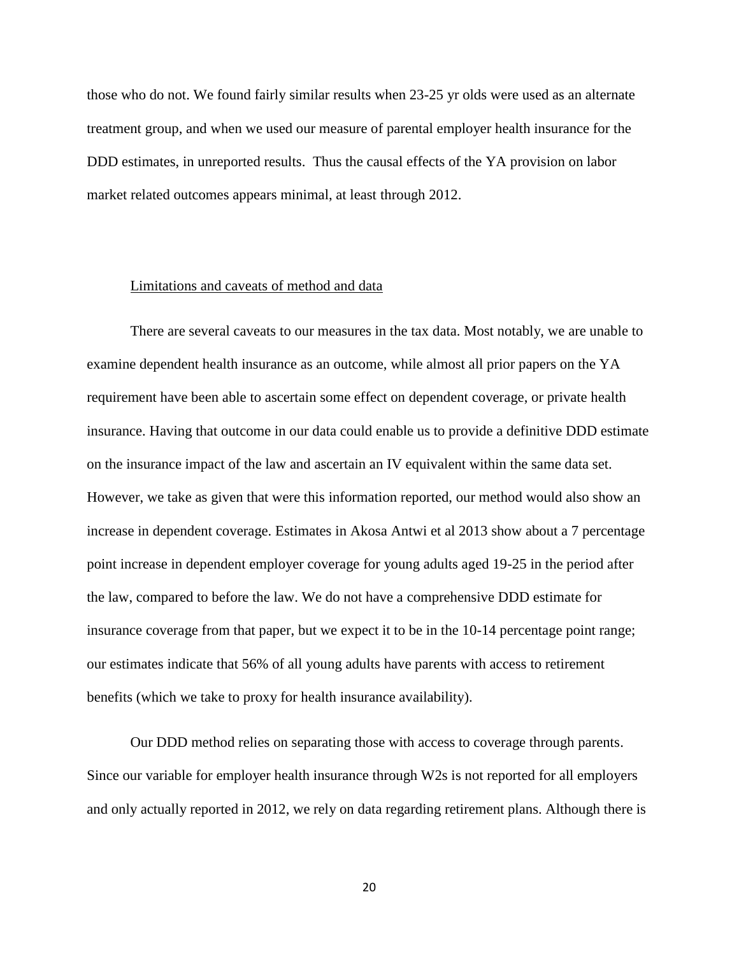those who do not. We found fairly similar results when 23-25 yr olds were used as an alternate treatment group, and when we used our measure of parental employer health insurance for the DDD estimates, in unreported results. Thus the causal effects of the YA provision on labor market related outcomes appears minimal, at least through 2012.

### Limitations and caveats of method and data

There are several caveats to our measures in the tax data. Most notably, we are unable to examine dependent health insurance as an outcome, while almost all prior papers on the YA requirement have been able to ascertain some effect on dependent coverage, or private health insurance. Having that outcome in our data could enable us to provide a definitive DDD estimate on the insurance impact of the law and ascertain an IV equivalent within the same data set. However, we take as given that were this information reported, our method would also show an increase in dependent coverage. Estimates in Akosa Antwi et al 2013 show about a 7 percentage point increase in dependent employer coverage for young adults aged 19-25 in the period after the law, compared to before the law. We do not have a comprehensive DDD estimate for insurance coverage from that paper, but we expect it to be in the 10-14 percentage point range; our estimates indicate that 56% of all young adults have parents with access to retirement benefits (which we take to proxy for health insurance availability).

Our DDD method relies on separating those with access to coverage through parents. Since our variable for employer health insurance through W2s is not reported for all employers and only actually reported in 2012, we rely on data regarding retirement plans. Although there is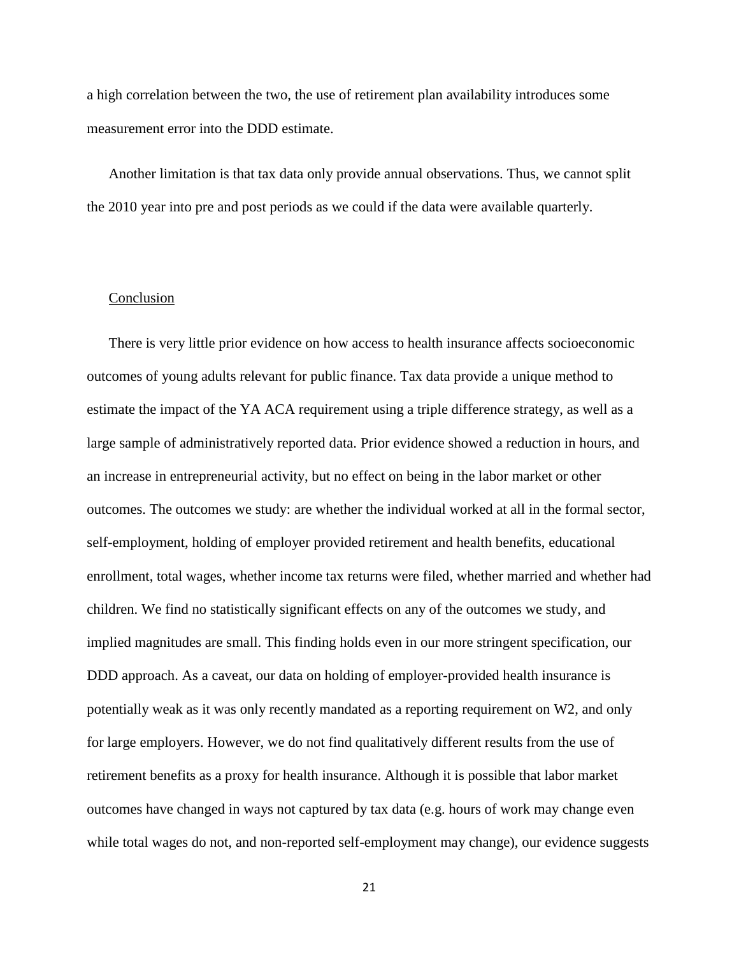a high correlation between the two, the use of retirement plan availability introduces some measurement error into the DDD estimate.

Another limitation is that tax data only provide annual observations. Thus, we cannot split the 2010 year into pre and post periods as we could if the data were available quarterly.

# Conclusion

There is very little prior evidence on how access to health insurance affects socioeconomic outcomes of young adults relevant for public finance. Tax data provide a unique method to estimate the impact of the YA ACA requirement using a triple difference strategy, as well as a large sample of administratively reported data. Prior evidence showed a reduction in hours, and an increase in entrepreneurial activity, but no effect on being in the labor market or other outcomes. The outcomes we study: are whether the individual worked at all in the formal sector, self-employment, holding of employer provided retirement and health benefits, educational enrollment, total wages, whether income tax returns were filed, whether married and whether had children. We find no statistically significant effects on any of the outcomes we study, and implied magnitudes are small. This finding holds even in our more stringent specification, our DDD approach. As a caveat, our data on holding of employer-provided health insurance is potentially weak as it was only recently mandated as a reporting requirement on W2, and only for large employers. However, we do not find qualitatively different results from the use of retirement benefits as a proxy for health insurance. Although it is possible that labor market outcomes have changed in ways not captured by tax data (e.g. hours of work may change even while total wages do not, and non-reported self-employment may change), our evidence suggests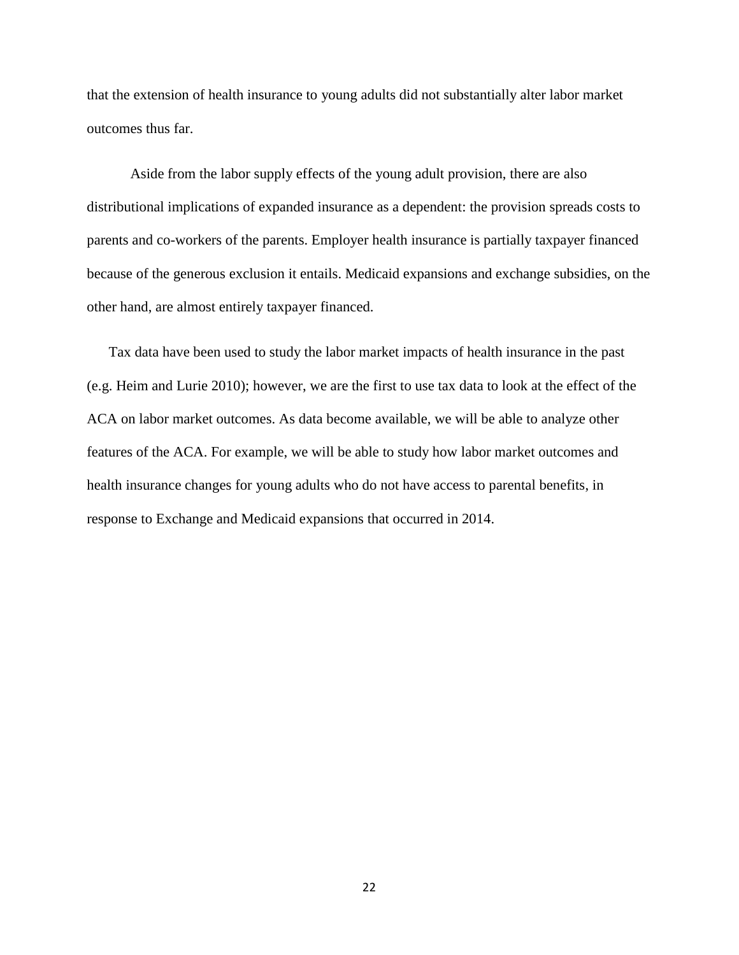that the extension of health insurance to young adults did not substantially alter labor market outcomes thus far.

Aside from the labor supply effects of the young adult provision, there are also distributional implications of expanded insurance as a dependent: the provision spreads costs to parents and co-workers of the parents. Employer health insurance is partially taxpayer financed because of the generous exclusion it entails. Medicaid expansions and exchange subsidies, on the other hand, are almost entirely taxpayer financed.

Tax data have been used to study the labor market impacts of health insurance in the past (e.g. Heim and Lurie 2010); however, we are the first to use tax data to look at the effect of the ACA on labor market outcomes. As data become available, we will be able to analyze other features of the ACA. For example, we will be able to study how labor market outcomes and health insurance changes for young adults who do not have access to parental benefits, in response to Exchange and Medicaid expansions that occurred in 2014.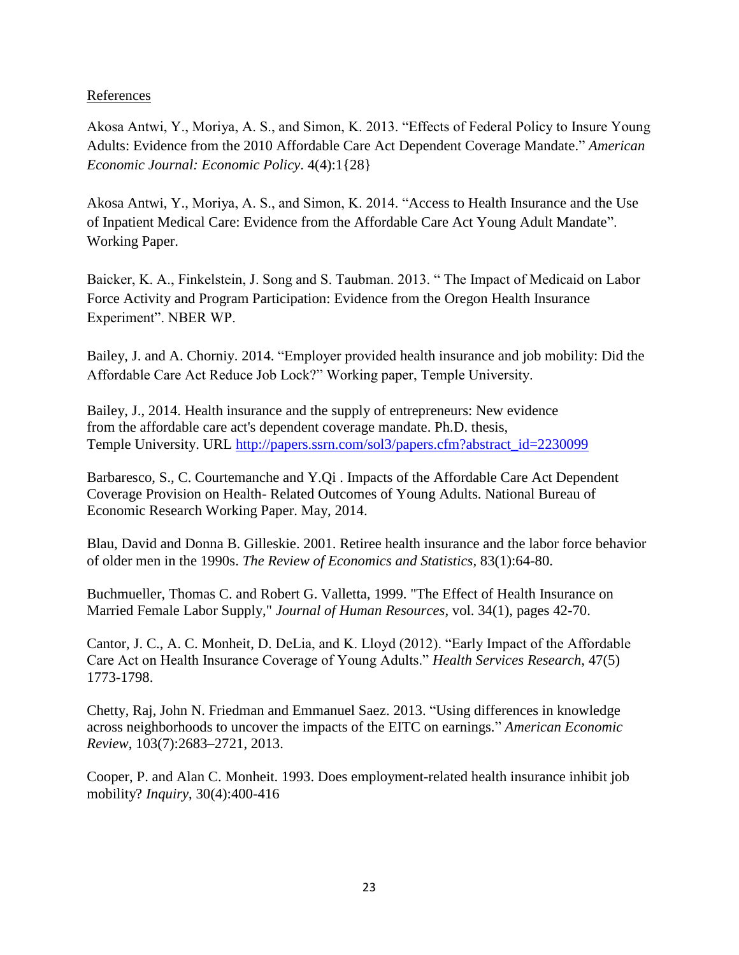# References

Akosa Antwi, Y., Moriya, A. S., and Simon, K. 2013. "Effects of Federal Policy to Insure Young Adults: Evidence from the 2010 Affordable Care Act Dependent Coverage Mandate." *American Economic Journal: Economic Policy*. 4(4):1{28}

Akosa Antwi, Y., Moriya, A. S., and Simon, K. 2014. ["Access to Health Insurance and the Use](http://www.nber.org/papers/w20202)  [of Inpatient Medical Care: Evidence from the Affordable Care Act Young Adult Mandate"](http://www.nber.org/papers/w20202). Working Paper.

Baicker, K. A., Finkelstein, J. Song and S. Taubman. 2013. " The Impact of Medicaid on Labor Force Activity and Program Participation: Evidence from the Oregon Health Insurance Experiment". NBER WP.

Bailey, J. and A. Chorniy. 2014. "Employer provided health insurance and job mobility: Did the Affordable Care Act Reduce Job Lock?" Working paper, Temple University.

Bailey, J., 2014. Health insurance and the supply of entrepreneurs: New evidence from the affordable care act's dependent coverage mandate. Ph.D. thesis, Temple University. URL [http://papers.ssrn.com/sol3/papers.cfm?abstract\\_id=2230099](http://papers.ssrn.com/sol3/papers.cfm?abstract_id=2230099)

Barbaresco, S., C. Courtemanche and Y.Qi . Impacts of the Affordable Care Act Dependent Coverage Provision on Health- Related Outcomes of Young Adults. National Bureau of Economic Research Working Paper. May, 2014.

Blau, David and Donna B. Gilleskie. 2001. Retiree health insurance and the labor force behavior of older men in the 1990s. *The Review of Economics and Statistics,* 83(1):64-80.

Buchmueller, Thomas C. and Robert G. Valletta, 1999. "The Effect of Health Insurance on Married Female Labor Supply," *Journal of Human Resources*, vol. 34(1), pages 42-70.

Cantor, J. C., A. C. Monheit, D. DeLia, and K. Lloyd (2012). "Early Impact of the Affordable Care Act on Health Insurance Coverage of Young Adults." *Health Services Research*, 47(5) 1773-1798.

Chetty, Raj, John N. Friedman and Emmanuel Saez. 2013. "Using differences in knowledge across neighborhoods to uncover the impacts of the EITC on earnings." *American Economic Review*, 103(7):2683–2721, 2013.

Cooper, P. and Alan C. Monheit. 1993. Does employment-related health insurance inhibit job mobility? *Inquiry*, 30(4):400-416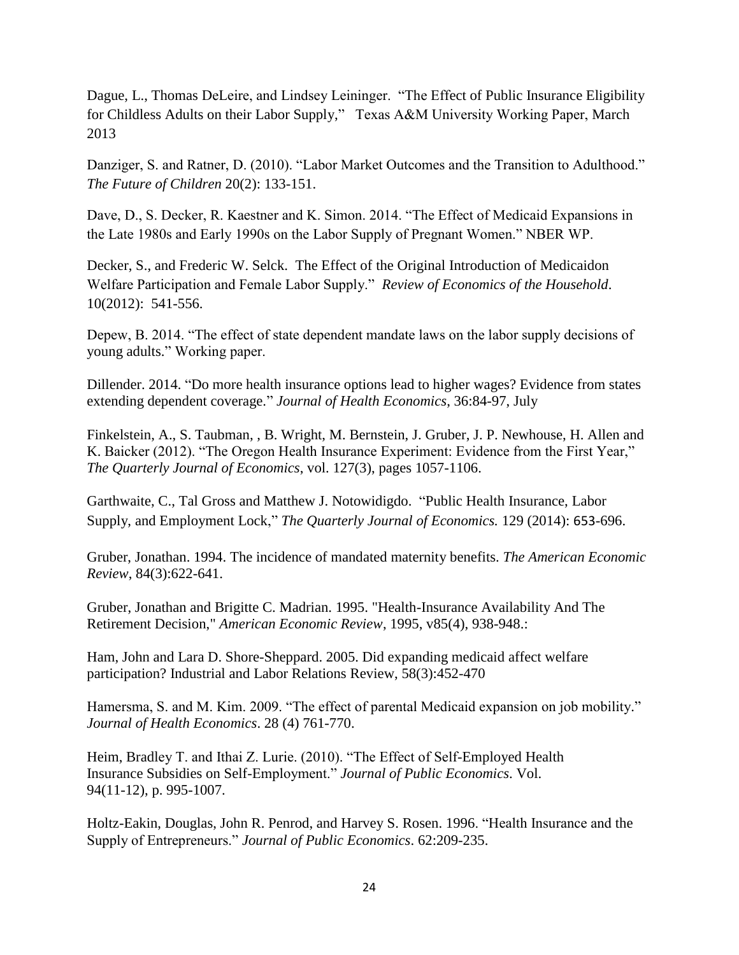Dague, L., Thomas DeLeire, and Lindsey Leininger. "The Effect of Public Insurance Eligibility for Childless Adults on their Labor Supply," Texas A&M University Working Paper, March 2013

Danziger, S. and Ratner, D. (2010). "Labor Market Outcomes and the Transition to Adulthood." *The Future of Children* 20(2): 133-151.

Dave, D., S. Decker, R. Kaestner and K. Simon. 2014. "The Effect of Medicaid Expansions in the Late 1980s and Early 1990s on the Labor Supply of Pregnant Women." NBER WP.

Decker, S., and Frederic W. Selck. The Effect of the Original Introduction of Medicaidon Welfare Participation and Female Labor Supply." *Review of Economics of the Household*. 10(2012): 541-556.

Depew, B. 2014. "The effect of state dependent mandate laws on the labor supply decisions of young adults." Working paper.

Dillender. 2014. "Do more health insurance options lead to higher wages? Evidence from states extending dependent coverage." *Journal of Health Economics*, 36:84-97, July

Finkelstein, A., S. Taubman, , B. Wright, M. Bernstein, J. Gruber, J. P. Newhouse, H. Allen and K. Baicker (2012). "The Oregon Health Insurance Experiment: Evidence from the First Year," *The Quarterly Journal of Economics*, vol. 127(3), pages 1057-1106.

[Garthwaite,](http://qje.oxfordjournals.org/search?author1=Craig+Garthwaite&sortspec=date&submit=Submit) C., Tal [Gross](http://qje.oxfordjournals.org/search?author1=Tal+Gross&sortspec=date&submit=Submit) and Matthew J. [Notowidigdo.](http://qje.oxfordjournals.org/search?author1=Matthew+J.+Notowidigdo&sortspec=date&submit=Submit) "Public Health Insurance, Labor Supply, and Employment Lock," *The Quarterly Journal of Economics.* 129 (2014): 653-696.

Gruber, Jonathan. 1994. The incidence of mandated maternity benefits. *The American Economic Review*, 84(3):622-641.

Gruber, Jonathan and Brigitte C. Madrian. 1995. "Health-Insurance Availability And The Retirement Decision," *American Economic Review*, 1995, v85(4), 938-948.:

Ham, John and Lara D. Shore-Sheppard. 2005. Did expanding medicaid affect welfare participation? Industrial and Labor Relations Review, 58(3):452-470

Hamersma, S. and M. Kim. 2009. "The effect of parental Medicaid expansion on job mobility." *Journal of Health Economics*. 28 (4) 761-770.

Heim, Bradley T. and Ithai Z. Lurie. (2010). "The Effect of Self-Employed Health Insurance Subsidies on Self-Employment." *Journal of Public Economics*. Vol. 94(11-12), p. 995-1007.

Holtz-Eakin, Douglas, John R. Penrod, and Harvey S. Rosen. 1996. "Health Insurance and the Supply of Entrepreneurs." *Journal of Public Economics*. 62:209-235.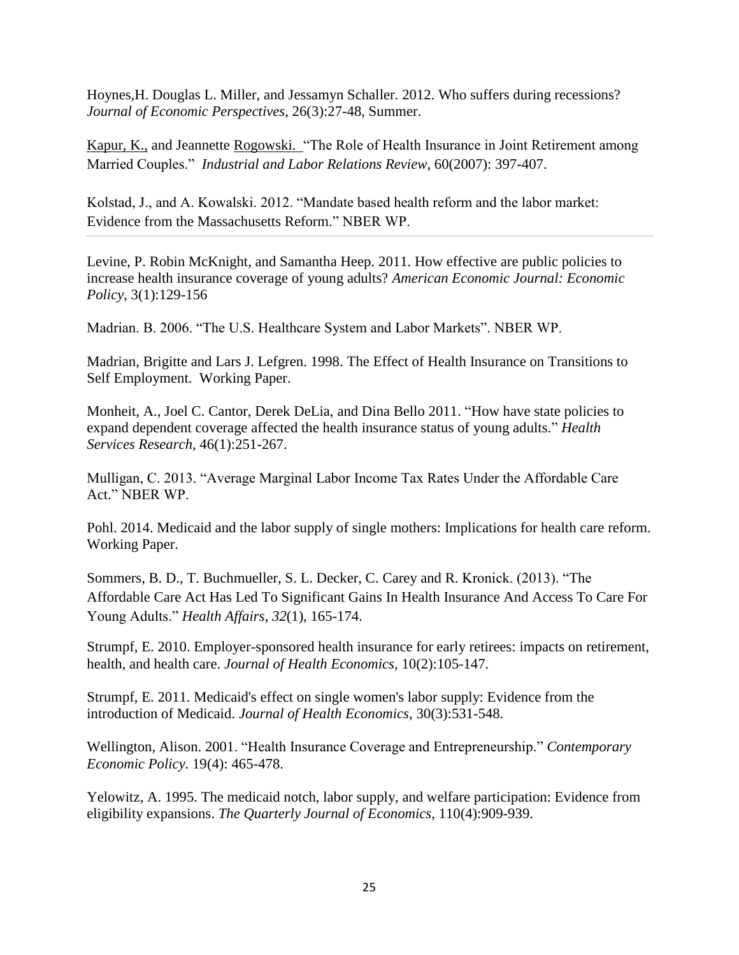Hoynes,H. Douglas L. Miller, and Jessamyn Schaller. 2012. Who suffers during recessions? *Journal of Economic Perspectives*, 26(3):27-48, Summer.

[Kapur,](javascript:__doLinkPostBack() K., and Jeannette [Rogowski. "](javascript:__doLinkPostBack()The Role of Health Insurance in Joint Retirement among Married Couples." *Industrial and Labor Relations Review*, 60(2007): 397-407.

Kolstad, J., and A. Kowalski. 2012. "Mandate based health reform and the labor market: Evidence from the Massachusetts Reform." NBER WP.

Levine, P. Robin McKnight, and Samantha Heep. 2011. How effective are public policies to increase health insurance coverage of young adults? *American Economic Journal: Economic Policy*, 3(1):129-156

Madrian. B. 2006. "The U.S. Healthcare System and Labor Markets". NBER WP.

Madrian, Brigitte and Lars J. Lefgren. 1998. The Effect of Health Insurance on Transitions to Self Employment. Working Paper.

Monheit, A., Joel C. Cantor, Derek DeLia, and Dina Bello 2011. "How have state policies to expand dependent coverage affected the health insurance status of young adults." *Health Services Research*, 46(1):251-267.

Mulligan, C. 2013. "Average Marginal Labor Income Tax Rates Under the Affordable Care Act." NBER WP.

Pohl. 2014. Medicaid and the labor supply of single mothers: Implications for health care reform. Working Paper.

Sommers, B. D., T. Buchmueller, S. L. Decker, C. Carey and R. Kronick. (2013). "The Affordable Care Act Has Led To Significant Gains In Health Insurance And Access To Care For Young Adults." *Health Affairs*, *32*(1), 165-174.

Strumpf, E. 2010. Employer-sponsored health insurance for early retirees: impacts on retirement, health, and health care. *Journal of Health Economics*, 10(2):105-147.

Strumpf, E. 2011. Medicaid's effect on single women's labor supply: Evidence from the introduction of Medicaid. *Journal of Health Economics*, 30(3):531-548.

Wellington, Alison. 2001. "Health Insurance Coverage and Entrepreneurship." *Contemporary Economic Policy*. 19(4): 465-478.

Yelowitz, A. 1995. The medicaid notch, labor supply, and welfare participation: Evidence from eligibility expansions. *The Quarterly Journal of Economics*, 110(4):909-939.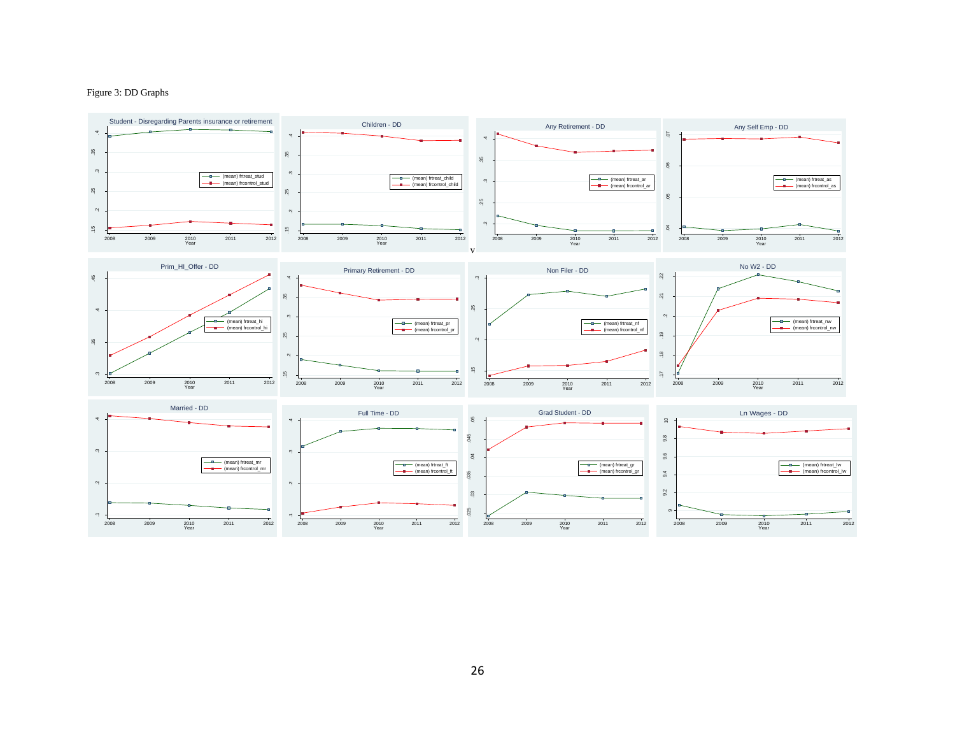#### Figure 3: DD Graphs

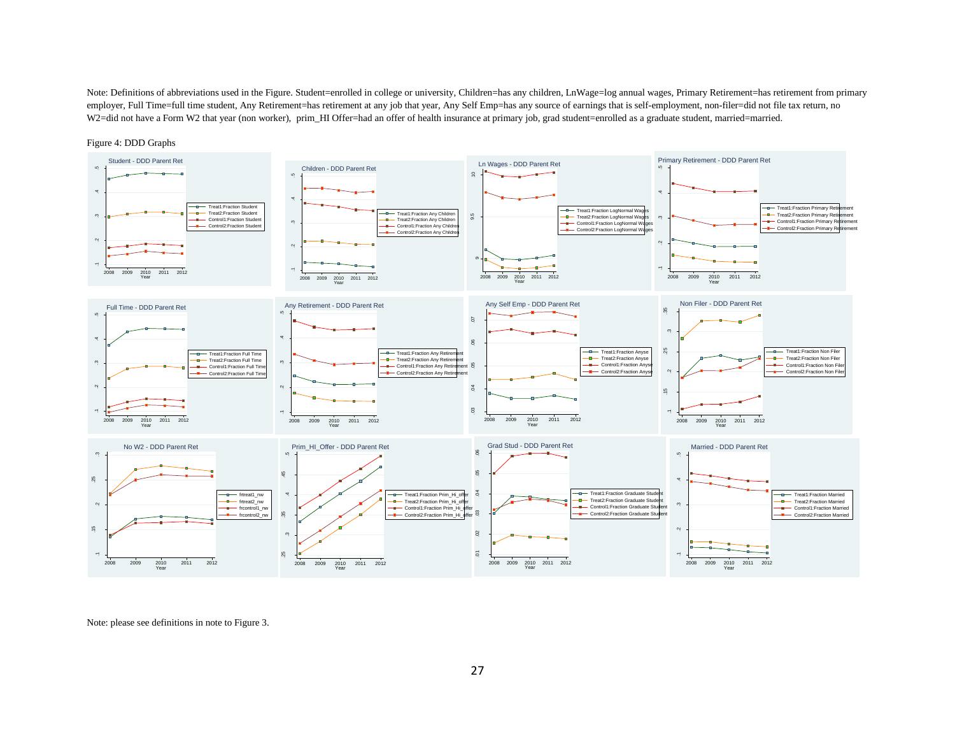Note: Definitions of abbreviations used in the Figure. Student=enrolled in college or university, Children=has any children, LnWage=log annual wages, Primary Retirement=has retirement from primary employer, Full Time=full time student, Any Retirement=has retirement at any job that year, Any Self Emp=has any source of earnings that is self-employment, non-filer=did not file tax return, no W2=did not have a Form W2 that year (non worker), prim\_HI Offer=had an offer of health insurance at primary job, grad student=enrolled as a graduate student, married=married.



Figure 4: DDD Graphs

Note: please see definitions in note to Figure 3.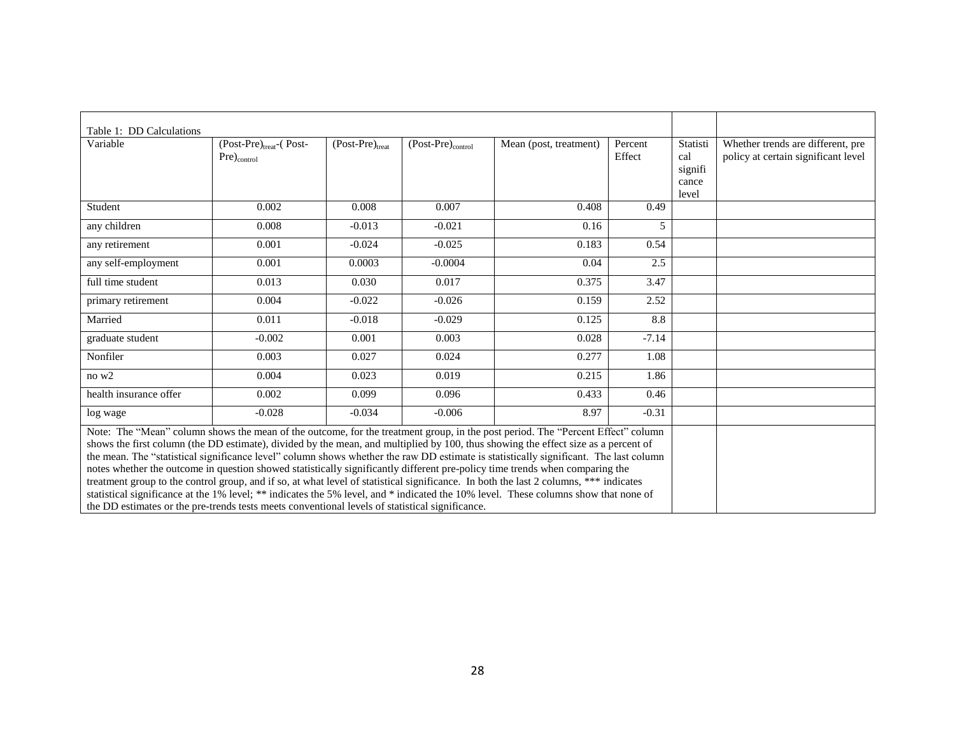| Table 1: DD Calculations                                                                                                                                                                                                                                                                                                                                                                                                                                                                                                                                                                                                                                                                                                                                                                                                                                                                                                          |                                                         |                      |                        |                        |                   |                                              |                                                                          |
|-----------------------------------------------------------------------------------------------------------------------------------------------------------------------------------------------------------------------------------------------------------------------------------------------------------------------------------------------------------------------------------------------------------------------------------------------------------------------------------------------------------------------------------------------------------------------------------------------------------------------------------------------------------------------------------------------------------------------------------------------------------------------------------------------------------------------------------------------------------------------------------------------------------------------------------|---------------------------------------------------------|----------------------|------------------------|------------------------|-------------------|----------------------------------------------|--------------------------------------------------------------------------|
| Variable                                                                                                                                                                                                                                                                                                                                                                                                                                                                                                                                                                                                                                                                                                                                                                                                                                                                                                                          | (Post-Pre) <sub>treat</sub> -(Post-<br>$Pre)_{control}$ | $(Post-Pre)_{treat}$ | $(Post-Pre)_{control}$ | Mean (post, treatment) | Percent<br>Effect | Statisti<br>cal<br>signifi<br>cance<br>level | Whether trends are different, pre<br>policy at certain significant level |
| Student                                                                                                                                                                                                                                                                                                                                                                                                                                                                                                                                                                                                                                                                                                                                                                                                                                                                                                                           | 0.002                                                   | 0.008                | 0.007                  | 0.408                  | 0.49              |                                              |                                                                          |
| any children                                                                                                                                                                                                                                                                                                                                                                                                                                                                                                                                                                                                                                                                                                                                                                                                                                                                                                                      | 0.008                                                   | $-0.013$             | $-0.021$               | 0.16                   | 5                 |                                              |                                                                          |
| any retirement                                                                                                                                                                                                                                                                                                                                                                                                                                                                                                                                                                                                                                                                                                                                                                                                                                                                                                                    | 0.001                                                   | $-0.024$             | $-0.025$               | 0.183                  | 0.54              |                                              |                                                                          |
| any self-employment                                                                                                                                                                                                                                                                                                                                                                                                                                                                                                                                                                                                                                                                                                                                                                                                                                                                                                               | 0.001                                                   | 0.0003               | $-0.0004$              | 0.04                   | 2.5               |                                              |                                                                          |
| full time student                                                                                                                                                                                                                                                                                                                                                                                                                                                                                                                                                                                                                                                                                                                                                                                                                                                                                                                 | 0.013                                                   | 0.030                | 0.017                  | 0.375                  | 3.47              |                                              |                                                                          |
| primary retirement                                                                                                                                                                                                                                                                                                                                                                                                                                                                                                                                                                                                                                                                                                                                                                                                                                                                                                                | 0.004                                                   | $-0.022$             | $-0.026$               | 0.159                  | 2.52              |                                              |                                                                          |
| Married                                                                                                                                                                                                                                                                                                                                                                                                                                                                                                                                                                                                                                                                                                                                                                                                                                                                                                                           | 0.011                                                   | $-0.018$             | $-0.029$               | 0.125                  | 8.8               |                                              |                                                                          |
| graduate student                                                                                                                                                                                                                                                                                                                                                                                                                                                                                                                                                                                                                                                                                                                                                                                                                                                                                                                  | $-0.002$                                                | 0.001                | 0.003                  | 0.028                  | $-7.14$           |                                              |                                                                          |
| Nonfiler                                                                                                                                                                                                                                                                                                                                                                                                                                                                                                                                                                                                                                                                                                                                                                                                                                                                                                                          | 0.003                                                   | 0.027                | 0.024                  | 0.277                  | 1.08              |                                              |                                                                          |
| no w2                                                                                                                                                                                                                                                                                                                                                                                                                                                                                                                                                                                                                                                                                                                                                                                                                                                                                                                             | 0.004                                                   | 0.023                | 0.019                  | 0.215                  | 1.86              |                                              |                                                                          |
| health insurance offer                                                                                                                                                                                                                                                                                                                                                                                                                                                                                                                                                                                                                                                                                                                                                                                                                                                                                                            | 0.002                                                   | 0.099                | 0.096                  | 0.433                  | 0.46              |                                              |                                                                          |
| log wage                                                                                                                                                                                                                                                                                                                                                                                                                                                                                                                                                                                                                                                                                                                                                                                                                                                                                                                          | $-0.028$                                                | $-0.034$             | $-0.006$               | 8.97                   | $-0.31$           |                                              |                                                                          |
| Note: The "Mean" column shows the mean of the outcome, for the treatment group, in the post period. The "Percent Effect" column<br>shows the first column (the DD estimate), divided by the mean, and multiplied by 100, thus showing the effect size as a percent of<br>the mean. The "statistical significance level" column shows whether the raw DD estimate is statistically significant. The last column<br>notes whether the outcome in question showed statistically significantly different pre-policy time trends when comparing the<br>treatment group to the control group, and if so, at what level of statistical significance. In both the last 2 columns, *** indicates<br>statistical significance at the 1% level; ** indicates the 5% level, and * indicated the 10% level. These columns show that none of<br>the DD estimates or the pre-trends tests meets conventional levels of statistical significance. |                                                         |                      |                        |                        |                   |                                              |                                                                          |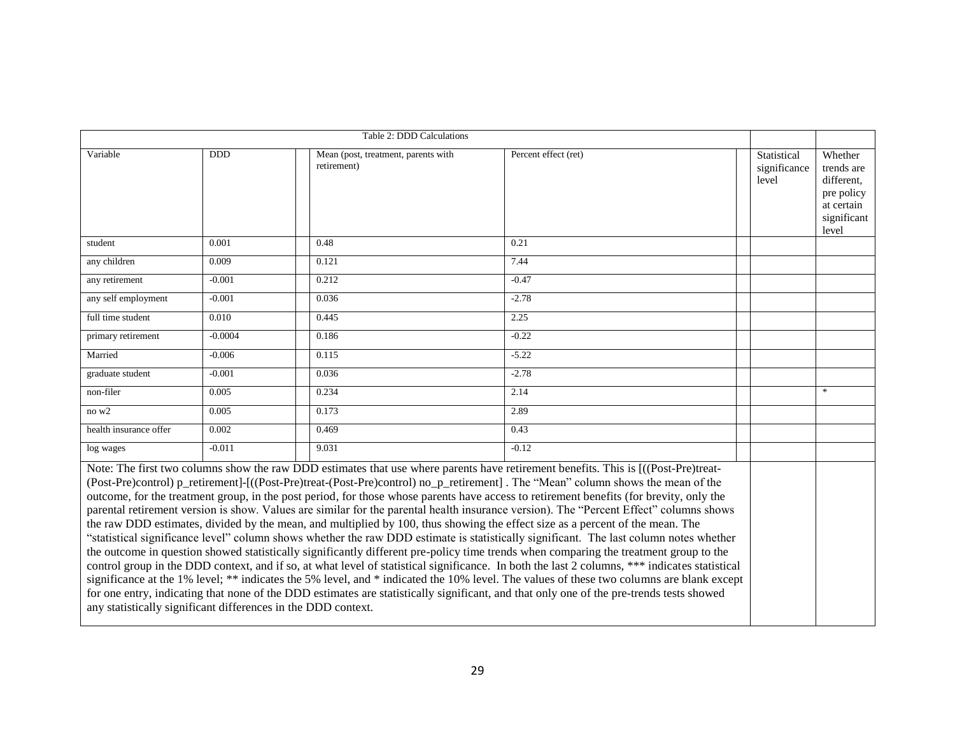| Table 2: DDD Calculations                                                                                                                                                                                                                                                                                                                                                                                                                                                                                                                                                                                                                                                                                                                                                                                                                                                                                                                                                                                                                                                                                                                                                                                                                                                                                                                                                                                                                                                                |            |                                                    |                      |                                      |                                                                                         |
|------------------------------------------------------------------------------------------------------------------------------------------------------------------------------------------------------------------------------------------------------------------------------------------------------------------------------------------------------------------------------------------------------------------------------------------------------------------------------------------------------------------------------------------------------------------------------------------------------------------------------------------------------------------------------------------------------------------------------------------------------------------------------------------------------------------------------------------------------------------------------------------------------------------------------------------------------------------------------------------------------------------------------------------------------------------------------------------------------------------------------------------------------------------------------------------------------------------------------------------------------------------------------------------------------------------------------------------------------------------------------------------------------------------------------------------------------------------------------------------|------------|----------------------------------------------------|----------------------|--------------------------------------|-----------------------------------------------------------------------------------------|
| Variable                                                                                                                                                                                                                                                                                                                                                                                                                                                                                                                                                                                                                                                                                                                                                                                                                                                                                                                                                                                                                                                                                                                                                                                                                                                                                                                                                                                                                                                                                 | <b>DDD</b> | Mean (post, treatment, parents with<br>retirement) | Percent effect (ret) | Statistical<br>significance<br>level | Whether<br>trends are<br>different,<br>pre policy<br>at certain<br>significant<br>level |
| student                                                                                                                                                                                                                                                                                                                                                                                                                                                                                                                                                                                                                                                                                                                                                                                                                                                                                                                                                                                                                                                                                                                                                                                                                                                                                                                                                                                                                                                                                  | 0.001      | 0.48                                               | 0.21                 |                                      |                                                                                         |
| any children                                                                                                                                                                                                                                                                                                                                                                                                                                                                                                                                                                                                                                                                                                                                                                                                                                                                                                                                                                                                                                                                                                                                                                                                                                                                                                                                                                                                                                                                             | 0.009      | 0.121                                              | 7.44                 |                                      |                                                                                         |
| any retirement                                                                                                                                                                                                                                                                                                                                                                                                                                                                                                                                                                                                                                                                                                                                                                                                                                                                                                                                                                                                                                                                                                                                                                                                                                                                                                                                                                                                                                                                           | $-0.001$   | 0.212                                              | $-0.47$              |                                      |                                                                                         |
| any self employment                                                                                                                                                                                                                                                                                                                                                                                                                                                                                                                                                                                                                                                                                                                                                                                                                                                                                                                                                                                                                                                                                                                                                                                                                                                                                                                                                                                                                                                                      | $-0.001$   | 0.036                                              | $-2.78$              |                                      |                                                                                         |
| full time student                                                                                                                                                                                                                                                                                                                                                                                                                                                                                                                                                                                                                                                                                                                                                                                                                                                                                                                                                                                                                                                                                                                                                                                                                                                                                                                                                                                                                                                                        | 0.010      | 0.445                                              | 2.25                 |                                      |                                                                                         |
| primary retirement                                                                                                                                                                                                                                                                                                                                                                                                                                                                                                                                                                                                                                                                                                                                                                                                                                                                                                                                                                                                                                                                                                                                                                                                                                                                                                                                                                                                                                                                       | $-0.0004$  | 0.186                                              | $-0.22$              |                                      |                                                                                         |
| Married                                                                                                                                                                                                                                                                                                                                                                                                                                                                                                                                                                                                                                                                                                                                                                                                                                                                                                                                                                                                                                                                                                                                                                                                                                                                                                                                                                                                                                                                                  | $-0.006$   | 0.115                                              | $-5.22$              |                                      |                                                                                         |
| graduate student                                                                                                                                                                                                                                                                                                                                                                                                                                                                                                                                                                                                                                                                                                                                                                                                                                                                                                                                                                                                                                                                                                                                                                                                                                                                                                                                                                                                                                                                         | $-0.001$   | 0.036                                              | $-2.78$              |                                      |                                                                                         |
| non-filer                                                                                                                                                                                                                                                                                                                                                                                                                                                                                                                                                                                                                                                                                                                                                                                                                                                                                                                                                                                                                                                                                                                                                                                                                                                                                                                                                                                                                                                                                | 0.005      | 0.234                                              | 2.14                 |                                      | $\mathcal{R}$                                                                           |
| no w2                                                                                                                                                                                                                                                                                                                                                                                                                                                                                                                                                                                                                                                                                                                                                                                                                                                                                                                                                                                                                                                                                                                                                                                                                                                                                                                                                                                                                                                                                    | 0.005      | 0.173                                              | 2.89                 |                                      |                                                                                         |
| health insurance offer                                                                                                                                                                                                                                                                                                                                                                                                                                                                                                                                                                                                                                                                                                                                                                                                                                                                                                                                                                                                                                                                                                                                                                                                                                                                                                                                                                                                                                                                   | 0.002      | 0.469                                              | 0.43                 |                                      |                                                                                         |
| log wages                                                                                                                                                                                                                                                                                                                                                                                                                                                                                                                                                                                                                                                                                                                                                                                                                                                                                                                                                                                                                                                                                                                                                                                                                                                                                                                                                                                                                                                                                | $-0.011$   | 9.031                                              | $-0.12$              |                                      |                                                                                         |
| Note: The first two columns show the raw DDD estimates that use where parents have retirement benefits. This is [((Post-Pre)treat-<br>(Post-Pre)control) p_retirement]-[((Post-Pre)treat-(Post-Pre)control) no_p_retirement]. The "Mean" column shows the mean of the<br>outcome, for the treatment group, in the post period, for those whose parents have access to retirement benefits (for brevity, only the<br>parental retirement version is show. Values are similar for the parental health insurance version). The "Percent Effect" columns shows<br>the raw DDD estimates, divided by the mean, and multiplied by 100, thus showing the effect size as a percent of the mean. The<br>"statistical significance level" column shows whether the raw DDD estimate is statistically significant. The last column notes whether<br>the outcome in question showed statistically significantly different pre-policy time trends when comparing the treatment group to the<br>control group in the DDD context, and if so, at what level of statistical significance. In both the last 2 columns, *** indicates statistical<br>significance at the 1% level; ** indicates the 5% level, and * indicated the 10% level. The values of these two columns are blank except<br>for one entry, indicating that none of the DDD estimates are statistically significant, and that only one of the pre-trends tests showed<br>any statistically significant differences in the DDD context. |            |                                                    |                      |                                      |                                                                                         |